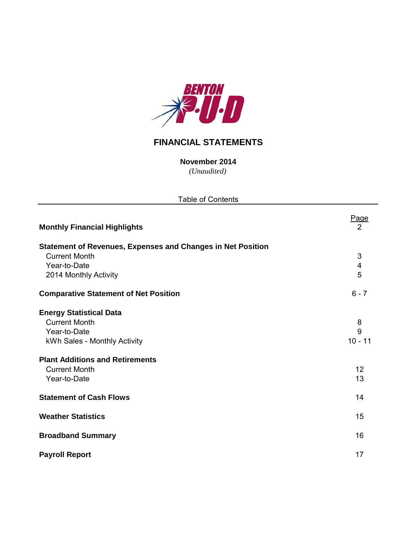

## **FINANCIAL STATEMENTS**

*(Unaudited)* **November 2014**

Table of Contents

Page<br>2 **Monthly Financial Highlights** 2 **Statement of Revenues, Expenses and Changes in Net Position Current Month** 3 Year-to-Date 4<br>
2014 Monthly Activity 5 2014 Monthly Activity **Comparative Statement of Net Position** 6 - 7 **Energy Statistical Data** Current Month 8 Year-to-Date 9 kWh Sales - Monthly Activity 10 - 11 **Plant Additions and Retirements Current Month** 12 **The Vear-to-Date** 13 **Statement of Cash Flows** 14 **Weather Statistics** 15 **Broadband Summary** 16 **Payroll Report** 17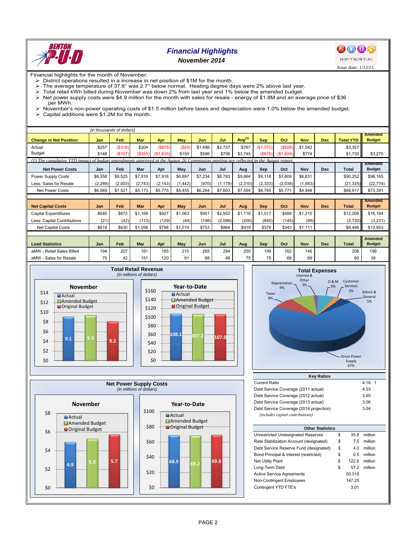

# *Financial Highlights*

*November 2014*



Financial highlights for the month of November:

- $\triangleright$  District operations resulted in a increase in net position of \$1M for the month.<br> $\triangleright$  The average temperature of 37.8° was 2.7° below normal. Heating degree da
- The average temperature of 37.8° was 2.7° below normal. Heating degree days were 2% above last year.<br>
> Total retail kWh billed during November was down 2% from last year and 1% below the amended budget.
- $\triangleright$  Total retail kWh billed during November was down 2% from last year and 1% below the amended budget.<br> $\triangleright$  Net nower supply costs were \$4.9 million for the month with sales for resale energy of \$1.8M and an ave
- Net power supply costs were \$4.9 million for the month with sales for resale energy of \$1.8M and an average price of \$36
- per MWh.  $\triangleright$  November's non-power operating costs of \$1.5 million before taxes and depreciation were 1.0% below the amended budget.<br>  $\triangleright$  Capital additions were \$1.2M for the month.
- Capital additions were \$1.2M for the month.

|                                                                                                                                    |          | (in thousands of dollars) |            |           |            |         |          |           |            |          |            |            |                  |                                 |
|------------------------------------------------------------------------------------------------------------------------------------|----------|---------------------------|------------|-----------|------------|---------|----------|-----------|------------|----------|------------|------------|------------------|---------------------------------|
| <b>Change in Net Position</b>                                                                                                      | Jan      | Feb                       | <b>Mar</b> | Apr       | <b>May</b> | Jun     | Jul      | Aug $(1)$ | <b>Sep</b> | Oct      | <b>Nov</b> | <b>Dec</b> | <b>Total YTD</b> | <b>Amended</b><br><b>Budget</b> |
| Actual                                                                                                                             | \$257    | (\$318)                   | \$204      | (S875)    | $($ \$65)  | \$1,486 | \$2,757  | \$767     | (\$1.070)  | (\$828)  | \$1,042    |            | \$3,357          |                                 |
| <b>Budget</b>                                                                                                                      | \$148    | (\$107)                   | (\$355)    | (\$1,635) | \$150      | \$586   | \$706    | \$3,745   | (\$676)    | (S1.606) | \$774      |            | \$1,730          | \$3,270                         |
| (1) The cumulative YTD impact of budget amendments approved at the August 26 Commission meeting are reflected in the August report |          |                           |            |           |            |         |          |           |            |          |            |            |                  |                                 |
| <b>Net Power Costs</b>                                                                                                             | Jan      | Feb                       | Mar        | Apr       | May        | Jun     | Jul      | Aug       | Sep        | Oct      | Nov        | <b>Dec</b> | <b>Total</b>     | Amended<br><b>Budget</b>        |
| Power Supply Costs                                                                                                                 | \$8,358  | \$9,525                   | \$7,916    | \$7,918   | \$6,897    | \$7,234 | \$8,783  | \$9,864   | \$9,118    | \$7,809  | \$6,831    |            | \$90,252         | \$96,165                        |
| Less: Sales for Resale                                                                                                             | (2, 289) | (2,003)                   | (2,743)    | (2, 143)  | (1, 442)   | (970)   | (1, 179) | (2,310)   | (2, 333)   | (2,038)  | (1,883)    |            | (21, 335)        | (22, 774)                       |
| <b>Net Power Costs</b>                                                                                                             | \$6,069  | \$7,521                   | \$5,173    | \$5,775   | \$5,455    | \$6,264 | \$7,603  | \$7,554   | \$6,785    | \$5,771  | \$4,948    |            | \$68,917         | \$73,391                        |
|                                                                                                                                    |          |                           |            |           |            |         |          |           |            |          |            |            |                  |                                 |
|                                                                                                                                    |          |                           |            |           |            |         |          |           |            |          |            |            |                  | <b>Amended</b>                  |
| <b>Net Capital Costs</b>                                                                                                           | Jan      | Feb                       | Mar        | Apr       | <b>May</b> | Jun     | Jul      | Aug       | <b>Sep</b> | Oct      | <b>Nov</b> | <b>Dec</b> | <b>Total</b>     | <b>Budget</b>                   |
| <b>Capital Expenditures</b>                                                                                                        | \$640    | \$672                     | \$1.169    | \$927     | \$1.063    | \$951   | \$2,952  | \$1.118   | \$1.017    | \$488    | \$1,210    |            | \$12,206         | \$16,184                        |
| Less: Capital Contributions                                                                                                        | (21)     | (42)                      | (113)      | (129)     | (44)       | (198)   | (2,088)  | (200)     | (640)      | (145)    | (99)       |            | (3,720)          | (3,231)                         |
| <b>Net Capital Costs</b>                                                                                                           | \$618    | \$630                     | \$1,056    | \$798     | \$1,019    | \$753   | \$864    | \$919     | \$376      | \$343    | \$1,111    |            | \$8,486          | \$12,953                        |
|                                                                                                                                    |          |                           |            |           |            |         |          |           |            |          |            |            |                  |                                 |
| <b>Load Statistics</b>                                                                                                             | Jan      | Feb                       | Mar        | Apr       | May        | Jun     | Jul      | Aug       | Sep        | Oct      | <b>Nov</b> | <b>Dec</b> | <b>Total</b>     | <b>Amended</b><br><b>Budget</b> |
| aMW - Retail Sales Billed                                                                                                          | 194      | 207                       | 161        | 185       | 210        | 265     | 284      | 255       | 199        | 162      | 146        |            | 206              | 196                             |
| aMW - Sales for Resale                                                                                                             | 75       | 42                        | 151        | 120       | 91         | 68      | 48       | 75        | 75         | 66       | 69         |            | 80               | 39                              |









| NGY NAUVS                               |        |
|-----------------------------------------|--------|
| <b>Current Ratio</b>                    | 4.16:1 |
| Debt Service Coverage (2011 actual)     | 4.03   |
| Debt Service Coverage (2012 actual)     | 3.60   |
| Debt Service Coverage (2013 actual)     | 3.06   |
| Debt Service Coverage (2014 projection) | 3.04   |
| (includes capital contributions)        |        |

| <b>Other Statistics</b>                 |    |        |         |  |  |  |  |  |  |  |
|-----------------------------------------|----|--------|---------|--|--|--|--|--|--|--|
| Unrestricted Undesignated Reserves      | \$ | 35.8   | million |  |  |  |  |  |  |  |
| Rate Stabilization Account (designated) | \$ | 7.5    | million |  |  |  |  |  |  |  |
| Debt Service Reserve Fund (designated)  | \$ | 4.0    | million |  |  |  |  |  |  |  |
| Bond Principal & Interest (restricted)  | \$ | 0.5    | million |  |  |  |  |  |  |  |
| <b>Net Utility Plant</b>                | \$ | 122.8  | million |  |  |  |  |  |  |  |
| Long-Term Debt                          | \$ | 572    | million |  |  |  |  |  |  |  |
| <b>Active Service Agreements</b>        |    | 50,318 |         |  |  |  |  |  |  |  |
| Non-Contingent Employees                |    | 147.25 |         |  |  |  |  |  |  |  |
| Contingent YTD FTE's                    |    | 3.01   |         |  |  |  |  |  |  |  |
|                                         |    |        |         |  |  |  |  |  |  |  |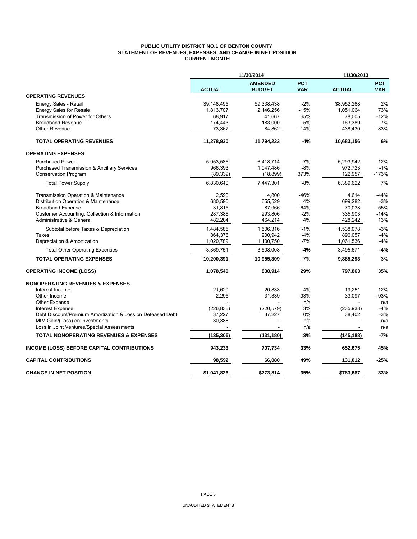## **PUBLIC UTILITY DISTRICT NO.1 OF BENTON COUNTY STATEMENT OF REVENUES, EXPENSES, AND CHANGE IN NET POSITION CURRENT MONTH**

|                                                                              | 11/30/2014    |                                 | 11/30/2013               |               |                          |
|------------------------------------------------------------------------------|---------------|---------------------------------|--------------------------|---------------|--------------------------|
|                                                                              | <b>ACTUAL</b> | <b>AMENDED</b><br><b>BUDGET</b> | <b>PCT</b><br><b>VAR</b> | <b>ACTUAL</b> | <b>PCT</b><br><b>VAR</b> |
| <b>OPERATING REVENUES</b>                                                    |               |                                 |                          |               |                          |
| Energy Sales - Retail                                                        | \$9,148,495   | \$9,338,438                     | $-2%$                    | \$8,952,268   | 2%                       |
| <b>Energy Sales for Resale</b>                                               | 1,813,707     | 2,146,256                       | $-15%$                   | 1,051,064     | 73%                      |
| Transmission of Power for Others                                             | 68,917        | 41,667                          | 65%                      | 78,005        | $-12%$                   |
| <b>Broadband Revenue</b>                                                     | 174,443       | 183,000                         | $-5%$                    | 163,389       | 7%                       |
| Other Revenue                                                                | 73,367        | 84,862                          | $-14%$                   | 438,430       | $-83%$                   |
| <b>TOTAL OPERATING REVENUES</b>                                              | 11,278,930    | 11,794,223                      | $-4%$                    | 10,683,156    | 6%                       |
| <b>OPERATING EXPENSES</b>                                                    |               |                                 |                          |               |                          |
| <b>Purchased Power</b>                                                       | 5,953,586     | 6,418,714                       | $-7%$                    | 5,293,942     | 12%                      |
| <b>Purchased Transmission &amp; Ancillary Services</b>                       | 966,393       | 1,047,486                       | $-8%$                    | 972,723       | $-1%$                    |
| <b>Conservation Program</b>                                                  | (89, 339)     | (18, 899)                       | 373%                     | 122,957       | $-173%$                  |
| <b>Total Power Supply</b>                                                    | 6,830,640     | 7,447,301                       | $-8%$                    | 6,389,622     | 7%                       |
| Transmission Operation & Maintenance                                         | 2,590         | 4,800                           | $-46%$                   | 4,614         | $-44%$                   |
| Distribution Operation & Maintenance                                         | 680,590       | 655,529                         | 4%                       | 699,282       | $-3%$                    |
| <b>Broadband Expense</b>                                                     | 31,815        | 87,966                          | $-64%$                   | 70,038        | $-55%$                   |
| Customer Accounting, Collection & Information                                | 287,386       | 293,806                         | $-2%$                    | 335,903       | $-14%$                   |
| Administrative & General                                                     | 482,204       | 464,214                         | 4%                       | 428,242       | 13%                      |
| Subtotal before Taxes & Depreciation                                         | 1,484,585     | 1,506,316                       | $-1%$                    | 1,538,078     | $-3%$                    |
| Taxes                                                                        | 864,376       | 900,942                         | $-4%$                    | 896,057       | $-4%$                    |
| Depreciation & Amortization                                                  | 1,020,789     | 1,100,750                       | $-7%$                    | 1,061,536     | $-4%$                    |
| <b>Total Other Operating Expenses</b>                                        | 3,369,751     | 3,508,008                       | $-4%$                    | 3,495,671     | $-4%$                    |
| <b>TOTAL OPERATING EXPENSES</b>                                              | 10,200,391    | 10,955,309                      | $-7%$                    | 9,885,293     | 3%                       |
| <b>OPERATING INCOME (LOSS)</b>                                               | 1,078,540     | 838,914                         | 29%                      | 797,863       | 35%                      |
| <b>NONOPERATING REVENUES &amp; EXPENSES</b>                                  |               |                                 |                          |               |                          |
| Interest Income                                                              | 21,620        | 20,833                          | 4%                       | 19,251        | 12%                      |
| Other Income                                                                 | 2,295         | 31,339                          | $-93%$                   | 33,097        | $-93%$                   |
| <b>Other Expense</b>                                                         |               |                                 | n/a                      |               | n/a                      |
| Interest Expense                                                             | (226, 836)    | (220, 579)                      | 3%                       | (235, 938)    | $-4%$                    |
| Debt Discount/Premium Amortization & Loss on Defeased Debt                   | 37,227        | 37,227                          | 0%                       | 38,402        | -3%                      |
| MtM Gain/(Loss) on Investments<br>Loss in Joint Ventures/Special Assessments | 30,388        |                                 | n/a<br>n/a               |               | n/a<br>n/a               |
|                                                                              |               |                                 |                          |               |                          |
| <b>TOTAL NONOPERATING REVENUES &amp; EXPENSES</b>                            | (135, 306)    | (131, 180)                      | 3%                       | (145, 188)    | $-7%$                    |
| INCOME (LOSS) BEFORE CAPITAL CONTRIBUTIONS                                   | 943,233       | 707,734                         | 33%                      | 652,675       | 45%                      |
| <b>CAPITAL CONTRIBUTIONS</b>                                                 | 98,592        | 66,080                          | 49%                      | 131,012       | -25%                     |
| <b>CHANGE IN NET POSITION</b>                                                | \$1,041,826   | \$773,814                       | 35%                      | \$783,687     | 33%                      |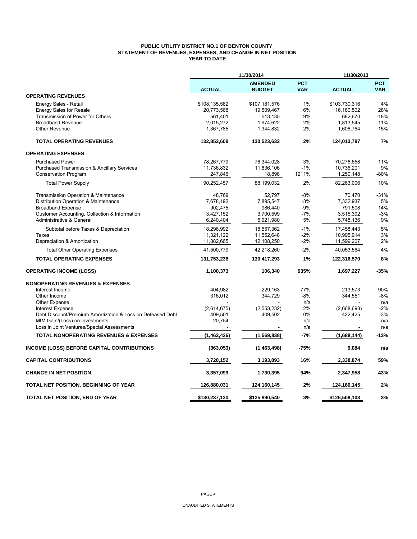## **PUBLIC UTILITY DISTRICT NO.1 OF BENTON COUNTY STATEMENT OF REVENUES, EXPENSES, AND CHANGE IN NET POSITION YEAR TO DATE**

|                                                            | 11/30/2014    |                                 | 11/30/2013               |               |                          |  |
|------------------------------------------------------------|---------------|---------------------------------|--------------------------|---------------|--------------------------|--|
|                                                            | <b>ACTUAL</b> | <b>AMENDED</b><br><b>BUDGET</b> | <b>PCT</b><br><b>VAR</b> | <b>ACTUAL</b> | <b>PCT</b><br><b>VAR</b> |  |
| <b>OPERATING REVENUES</b>                                  |               |                                 |                          |               |                          |  |
| Energy Sales - Retail                                      | \$108,135,582 | \$107,181,576                   | 1%                       | \$103,730,316 | 4%                       |  |
| <b>Energy Sales for Resale</b>                             | 20,773,568    | 19,509,467                      | 6%                       | 16,180,502    | 28%                      |  |
| Transmission of Power for Others                           | 561,401       | 513,135                         | 9%                       | 682,670       | $-18%$                   |  |
| <b>Broadband Revenue</b>                                   | 2,015,272     | 1,974,622                       | 2%                       | 1,813,545     | 11%                      |  |
| <b>Other Revenue</b>                                       | 1,367,785     | 1,344,832                       | 2%                       | 1,606,764     | $-15%$                   |  |
| <b>TOTAL OPERATING REVENUES</b>                            | 132,853,608   | 130,523,632                     | 2%                       | 124,013,797   | 7%                       |  |
| <b>OPERATING EXPENSES</b>                                  |               |                                 |                          |               |                          |  |
| <b>Purchased Power</b>                                     | 78,267,779    | 76,344,028                      | 3%                       | 70,276,658    | 11%                      |  |
| <b>Purchased Transmission &amp; Ancillary Services</b>     | 11,736,832    | 11,836,106                      | $-1%$                    | 10,736,201    | 9%                       |  |
| Conservation Program                                       | 247,846       | 18,898                          | 1211%                    | 1,250,148     | -80%                     |  |
| <b>Total Power Supply</b>                                  | 90,252,457    | 88,199,032                      | 2%                       | 82,263,006    | 10%                      |  |
| <b>Transmission Operation &amp; Maintenance</b>            | 48.769        | 52.797                          | $-8%$                    | 70.470        | $-31%$                   |  |
| Distribution Operation & Maintenance                       | 7,678,192     | 7,895,547                       | $-3%$                    | 7,332,937     | 5%                       |  |
| <b>Broadband Expense</b>                                   | 902,475       | 986,440                         | -9%                      | 791,508       | 14%                      |  |
| Customer Accounting, Collection & Information              | 3,427,152     | 3,700,599                       | $-7%$                    | 3,515,392     | $-3%$                    |  |
| Administrative & General                                   | 6,240,404     | 5,921,980                       | 5%                       | 5,748,136     | 9%                       |  |
| Subtotal before Taxes & Depreciation                       | 18,296,992    | 18,557,362                      | $-1%$                    | 17,458,443    | 5%                       |  |
| Taxes                                                      | 11,321,122    | 11,552,648                      | $-2%$                    | 10,995,914    | 3%                       |  |
| Depreciation & Amortization                                | 11,882,665    | 12,108,250                      | $-2%$                    | 11,599,207    | 2%                       |  |
| <b>Total Other Operating Expenses</b>                      | 41,500,779    | 42,218,260                      | $-2%$                    | 40,053,564    | 4%                       |  |
| <b>TOTAL OPERATING EXPENSES</b>                            | 131,753,236   | 130,417,293                     | 1%                       | 122,316,570   | 8%                       |  |
| <b>OPERATING INCOME (LOSS)</b>                             | 1,100,373     | 106,340                         | 935%                     | 1,697,227     | -35%                     |  |
| <b>NONOPERATING REVENUES &amp; EXPENSES</b>                |               |                                 |                          |               |                          |  |
| Interest Income                                            | 404,982       | 229,163                         | 77%                      | 213,573       | 90%                      |  |
| Other Income                                               | 316,012       | 344,729                         | $-8%$                    | 344,551       | $-8%$                    |  |
| <b>Other Expense</b>                                       |               |                                 | n/a                      |               | n/a                      |  |
| <b>Interest Expense</b>                                    | (2,614,675)   | (2,553,232)                     | 2%                       | (2,668,693)   | $-2%$                    |  |
| Debt Discount/Premium Amortization & Loss on Defeased Debt | 409,501       | 409,502                         | 0%                       | 422,425       | $-3%$                    |  |
| MtM Gain/(Loss) on Investments                             | 20,754        |                                 | n/a                      |               | n/a                      |  |
| Loss in Joint Ventures/Special Assessments                 |               |                                 | n/a                      |               | n/a                      |  |
| <b>TOTAL NONOPERATING REVENUES &amp; EXPENSES</b>          | (1,463,426)   | (1,569,838)                     | $-7%$                    | (1,688,144)   | $-13%$                   |  |
| <b>INCOME (LOSS) BEFORE CAPITAL CONTRIBUTIONS</b>          | (363,053)     | (1,463,498)                     | -75%                     | 9,084         | n/a                      |  |
| <b>CAPITAL CONTRIBUTIONS</b>                               | 3,720,152     | 3,193,893                       | 16%                      | 2,338,874     | 59%                      |  |
| <b>CHANGE IN NET POSITION</b>                              | 3,357,099     | 1,730,395                       | 94%                      | 2,347,958     | 43%                      |  |
| TOTAL NET POSITION, BEGINNING OF YEAR                      | 126,880,031   | 124,160,145                     | 2%                       | 124,160,145   | 2%                       |  |
| TOTAL NET POSITION, END OF YEAR                            | \$130,237,130 | \$125,890,540                   | 3%                       | \$126,508,103 | 3%                       |  |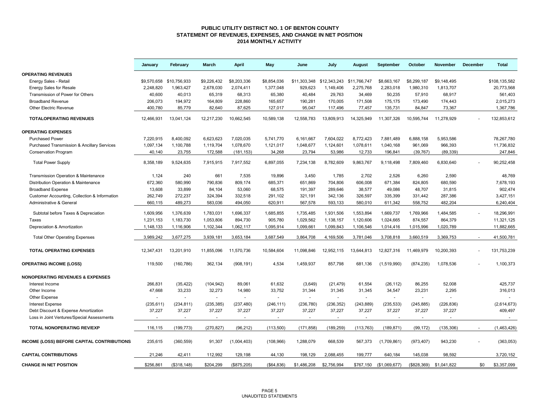#### **PUBLIC UTILITY DISTRICT NO. 1 OF BENTON COUNTY STATEMENT OF REVENUES, EXPENSES, AND CHANGE IN NET POSITION 2014 MONTHLY ACTIVITY**

|                                                        | January    | February                 | March       | <b>April</b> | May          | June                      | July        | August       | September      | October     | <b>November</b> | December | <b>Total</b>  |
|--------------------------------------------------------|------------|--------------------------|-------------|--------------|--------------|---------------------------|-------------|--------------|----------------|-------------|-----------------|----------|---------------|
| <b>OPERATING REVENUES</b>                              |            |                          |             |              |              |                           |             |              |                |             |                 |          |               |
| Energy Sales - Retail                                  |            | \$9,570,658 \$10,756,933 | \$9,226,432 | \$8,203,336  | \$8,854,036  | \$11,303,348 \$12,343,243 |             | \$11,766,747 | \$8,663,167    | \$8,299,187 | \$9,148,495     |          | \$108,135,582 |
| <b>Energy Sales for Resale</b>                         | 2,248,820  | 1,963,427                | 2,678,030   | 2,074,411    | 1,377,048    | 929,623                   | 1,149,406   | 2,275,768    | 2,283,018      | 1,980,310   | 1,813,707       |          | 20,773,568    |
| Transmission of Power for Others                       | 40,600     | 40,013                   | 65,319      | 68,313       | 65,380       | 40,484                    | 29,763      | 34,469       | 50,235         | 57,910      | 68,917          |          | 561,403       |
| <b>Broadband Revenue</b>                               | 206,073    | 194,972                  | 164,809     | 228,860      | 165,657      | 190,281                   | 170,005     | 171,508      | 175,175        | 173,490     | 174,443         |          | 2,015,273     |
| <b>Other Electric Revenue</b>                          | 400.780    | 85,779                   | 82,640      | 87,625       | 127,017      | 95,047                    | 117,496     | 77.457       | 135,731        | 84,847      | 73,367          |          | 1,367,786     |
| <b>TOTALOPERATING REVENUES</b>                         | 12,466,931 | 13,041,124               | 12,217,230  | 10,662,545   | 10,589,138   | 12,558,783                | 13,809,913  | 14,325,949   | 11,307,326     | 10,595,744  | 11,278,929      |          | 132,853,612   |
| <b>OPERATING EXPENSES</b>                              |            |                          |             |              |              |                           |             |              |                |             |                 |          |               |
| <b>Purchased Power</b>                                 | 7,220,915  | 8,400,092                | 6,623,623   | 7,020,035    | 5,741,770    | 6,161,667                 | 7.604.022   | 8,772,423    | 7.881.489      | 6,888,158   | 5,953,586       |          | 78.267.780    |
| <b>Purchased Transmission &amp; Ancillary Services</b> | 1,097,134  | 1,100,788                | 1,119,704   | 1,078,670    | 1,121,017    | 1,048,677                 | 1,124,601   | 1,078,611    | 1,040,168      | 961,069     | 966,393         |          | 11,736,832    |
|                                                        | 40,140     | 23,755                   | 172,588     |              | 34,268       | 23,794                    | 53,986      | 12,733       | 196,841        | (39, 767)   | (89, 339)       |          | 247,846       |
| <b>Conservation Program</b>                            |            |                          |             | (181, 153)   |              |                           |             |              |                |             |                 |          |               |
| <b>Total Power Supply</b>                              | 8,358,189  | 9,524,635                | 7,915,915   | 7,917,552    | 6,897,055    | 7,234,138                 | 8,782,609   | 9,863,767    | 9,118,498      | 7,809,460   | 6,830,640       |          | 90,252,458    |
| Transmission Operation & Maintenance                   | 1,124      | 240                      | 661         | 7.535        | 19,896       | 3.450                     | 1.785       | 2.702        | 2,526          | 6,260       | 2.590           |          | 48,769        |
| Distribution Operation & Maintenance                   | 672,360    | 580,990                  | 790,836     | 809,174      | 685,371      | 651,869                   | 704,806     | 606,008      | 671,384        | 824,805     | 680,590         |          | 7,678,193     |
| <b>Broadband Expense</b>                               | 13,608     | 33,899                   | 84,104      | 53,060       | 68,575       | 191,397                   | 289,646     | 38,577       | 49,086         | 48,707      | 31,815          |          | 902,474       |
| Customer Accounting, Collection & Information          | 262,749    | 272,237                  | 324,394     | 332,518      | 291,102      | 321,191                   | 342,136     | 326,597      | 335,399        | 331,442     | 287,386         |          | 3,427,151     |
| Administrative & General                               | 660,115    | 489,273                  | 583,036     | 494,050      | 620,911      | 567,578                   | 593,133     | 580,010      | 611,342        | 558,752     | 482,204         |          | 6,240,404     |
| Subtotal before Taxes & Depreciation                   | 1,609,956  | 1,376,639                | 1,783,031   | 1,696,337    | 1,685,855    | 1,735,485                 | 1,931,506   | 1,553,894    | 1,669,737      | 1,769,966   | 1,484,585       |          | 18,296,991    |
| Taxes                                                  | 1,231,153  | 1,183,730                | 1,053,806   | 894,730      | 905,780      | 1,029,562                 | 1,138,157   | 1,120,606    | 1,024,665      | 874,557     | 864,379         |          | 11,321,125    |
| Depreciation & Amortization                            | 1,148,133  | 1,116,906                | 1,102,344   | 1,062,117    | 1,095,914    | 1,099,661                 | 1,099,843   | 1,106,546    | 1,014,416      | 1,015,996   | 1,020,789       |          | 11,882,665    |
|                                                        |            |                          |             |              |              |                           |             |              |                |             |                 |          |               |
| <b>Total Other Operating Expenses</b>                  | 3,989,242  | 3,677,275                | 3,939,181   | 3,653,184    | 3,687,549    | 3,864,708                 | 4,169,506   | 3,781,046    | 3,708,818      | 3,660,519   | 3,369,753       |          | 41,500,781    |
| <b>TOTAL OPERATING EXPENSES</b>                        | 12,347,431 | 13,201,910               | 11,855,096  | 11,570,736   | 10,584,604   | 11,098,846                | 12,952,115  | 13,644,813   | 12,827,316     | 11,469,979  | 10,200,393      |          | 131,753,239   |
| <b>OPERATING INCOME (LOSS)</b>                         | 119,500    | (160, 786)               | 362,134     | (908, 191)   | 4,534        | 1,459,937                 | 857,798     | 681,136      | (1,519,990)    | (874, 235)  | 1,078,536       |          | 1,100,373     |
| <b>NONOPERATING REVENUES &amp; EXPENSES</b>            |            |                          |             |              |              |                           |             |              |                |             |                 |          |               |
| Interest Income                                        | 266,831    | (35, 422)                | (104, 942)  | 89,061       | 61,632       | (3,649)                   | (21, 479)   | 61,554       | (26, 112)      | 86,255      | 52,008          |          | 425,737       |
| Other Income                                           | 47,668     | 33,233                   | 32,273      | 14,980       | 33,752       | 31,344                    | 31,345      | 31,345       | 34,547         | 23,231      | 2,295           |          | 316,013       |
| Other Expense                                          |            |                          |             | $\sim$       |              |                           |             | $\sim$       | $\sim$         |             |                 |          |               |
| Interest Expense                                       | (235, 611) | (234, 811)               | (235, 385)  | (237, 480)   | (246, 111)   | (236, 780)                | (236, 352)  | (243, 889)   | (235, 533)     | (245, 885)  | (226, 836)      |          | (2,614,673)   |
| Debt Discount & Expense Amortization                   | 37,227     | 37,227                   | 37,227      | 37,227       | 37,227       | 37,227                    | 37,227      | 37,227       | 37,227         | 37,227      | 37,227          |          | 409,497       |
| Loss in Joint Ventures/Special Assessments             |            | $\sim$                   | $\sim$      | $\sim$       |              |                           |             | $\sim$       | $\blacksquare$ | $\sim$      |                 |          | $\sim$        |
| <b>TOTAL NONOPERATING REV/EXP</b>                      | 116,115    | (199, 773)               | (270, 827)  | (96, 212)    | (113,500)    | (171, 858)                | (189, 259)  | (113, 763)   | (189, 871)     | (99, 172)   | (135, 306)      |          | (1,463,426)   |
|                                                        |            |                          |             |              |              |                           |             |              |                |             |                 |          |               |
| INCOME (LOSS) BEFORE CAPITAL CONTRIBUTIONS             | 235,615    | (360, 559)               | 91,307      | (1,004,403)  | (108, 966)   | 1,288,079                 | 668,539     | 567,373      | (1,709,861)    | (973, 407)  | 943,230         |          | (363,053)     |
| <b>CAPITAL CONTRIBUTIONS</b>                           | 21,246     | 42,411                   | 112,992     | 129,198      | 44,130       | 198,129                   | 2,088,455   | 199,777      | 640,184        | 145,038     | 98,592          |          | 3,720,152     |
| <b>CHANGE IN NET POSITION</b>                          | \$256,861  | (\$318, 148)             | \$204,299   | (\$875,205)  | ( \$64, 836) | \$1,486,208               | \$2,756,994 | \$767.150    | (\$1,069,677)  | (\$828,369) | \$1,041,822     | \$0      | \$3,357,099   |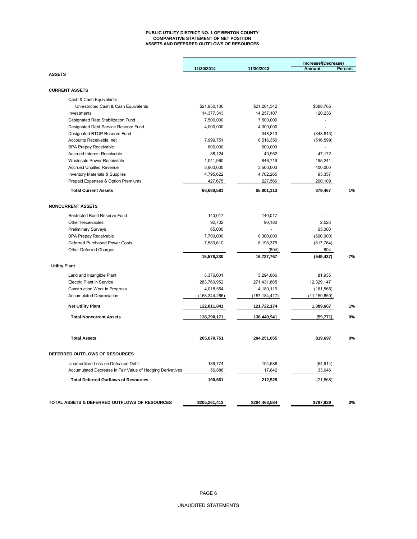#### **PUBLIC UTILITY DISTRICT NO. 1 OF BENTON COUNTY COMPARATIVE STATEMENT OF NET POSITION ASSETS AND DEFERRED OUTFLOWS OF RESOURCES**

|                                                                                                | 11/30/2014      | 11/30/2013        | Increase/(Decrease)<br>Amount | Percent |
|------------------------------------------------------------------------------------------------|-----------------|-------------------|-------------------------------|---------|
| <b>ASSETS</b>                                                                                  |                 |                   |                               |         |
| <b>CURRENT ASSETS</b>                                                                          |                 |                   |                               |         |
| Cash & Cash Equivalents                                                                        |                 |                   |                               |         |
| Unrestricted Cash & Cash Equivalents                                                           | \$21,950,106    | \$21,261,342      | \$688,765                     |         |
| Investments                                                                                    | 14,377,343      | 14,257,107        | 120,236                       |         |
| Designated Rate Stabilization Fund                                                             | 7,500,000       | 7,500,000         | ÷.                            |         |
| Designated Debt Service Reserve Fund                                                           | 4,000,000       | 4,000,000         | $\overline{a}$                |         |
| Designated BTOP Reserve Fund                                                                   | $\blacksquare$  | 348,813           | (348, 813)                    |         |
| Accounts Receivable, net                                                                       | 7,999,751       | 8,516,350         | (516, 599)                    |         |
| <b>BPA Prepay Receivable</b>                                                                   | 600,000         | 600,000           |                               |         |
| Accrued Interest Receivable                                                                    | 88,124          | 40,952            | 47,172                        |         |
| Wholesale Power Receivable                                                                     | 1,041,960       | 846,719           | 195,241                       |         |
| <b>Accrued Unbilled Revenue</b>                                                                | 3,900,000       | 3,500,000         | 400,000                       |         |
| <b>Inventory Materials &amp; Supplies</b>                                                      | 4,795,622       | 4,702,265         | 93,357                        |         |
| Prepaid Expenses & Option Premiums                                                             | 427,675         | 227,566           | 200,109                       |         |
| <b>Total Current Assets</b>                                                                    | 66,680,581      | 65,801,113        | 879,467                       | 1%      |
| <b>NONCURRENT ASSETS</b>                                                                       |                 |                   |                               |         |
| <b>Restricted Bond Reserve Fund</b>                                                            | 140,017         | 140,017           |                               |         |
| <b>Other Receivables</b>                                                                       | 92,702          | 90,180            | 2,523                         |         |
| <b>Preliminary Surveys</b>                                                                     | 65,000          |                   | 65,000                        |         |
| <b>BPA Prepay Receivable</b>                                                                   | 7,700,000       | 8,300,000         | (600,000)                     |         |
| Deferred Purchased Power Costs                                                                 | 7,580,610       | 8,198,375         | (617, 764)                    |         |
| Other Deferred Charges                                                                         |                 | (804)             | 804                           |         |
|                                                                                                | 15,578,330      | 16,727,767        | (549, 437)                    | -7%     |
| <b>Utility Plant</b>                                                                           |                 |                   |                               |         |
| Land and Intangible Plant                                                                      | 3,376,601       | 3,294,666         | 81,935                        |         |
| <b>Electric Plant in Service</b>                                                               | 283,760,952     | 271,431,805       | 12,329,147                    |         |
| Construction Work in Progress                                                                  | 4,018,554       | 4,180,119         | (161, 565)                    |         |
| <b>Accumulated Depreciation</b>                                                                | (168, 344, 266) | (157, 184, 417)   | (11, 159, 850)                |         |
| <b>Net Utility Plant</b>                                                                       | 122,811,841     | 121,722,174       | 1,089,667                     | 1%      |
| <b>Total Noncurrent Assets</b>                                                                 | 138,390,171     | 138,449,941       | (59, 771)                     | 0%      |
| <b>Total Assets</b>                                                                            | 205,070,751     | 204,251,055       | 819,697                       | 0%      |
| DEFERRED OUTFLOWS OF RESOURCES                                                                 |                 |                   |                               |         |
|                                                                                                | 139.774         |                   |                               |         |
| Unamortized Loss on Defeased Debt<br>Accumulated Decrease in Fair Value of Hedging Derivatives | 50,888          | 194,688<br>17,842 | (54, 914)<br>33,046           |         |
|                                                                                                |                 |                   |                               |         |
| <b>Total Deferred Outflows of Resources</b>                                                    | 190,661         | 212,529           | (21, 868)                     |         |
| TOTAL ASSETS & DEFERRED OUTFLOWS OF RESOURCES                                                  | \$205,261,413   | \$204,463,584     | \$797,829                     | 0%      |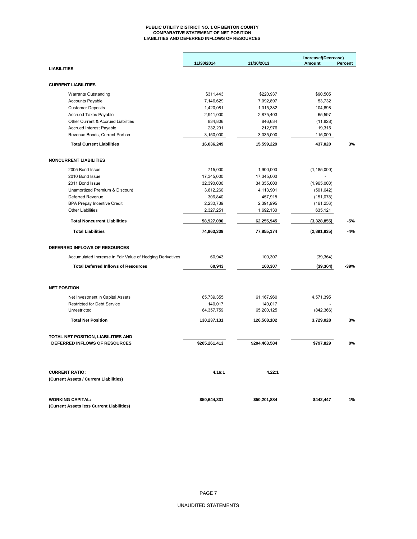#### **PUBLIC UTILITY DISTRICT NO. 1 OF BENTON COUNTY COMPARATIVE STATEMENT OF NET POSITION LIABILITIES AND DEFERRED INFLOWS OF RESOURCES**

|                                                                 |               |               | Increase/(Decrease) |         |
|-----------------------------------------------------------------|---------------|---------------|---------------------|---------|
|                                                                 | 11/30/2014    | 11/30/2013    | Amount              | Percent |
| <b>LIABILITIES</b>                                              |               |               |                     |         |
| <b>CURRENT LIABILITIES</b>                                      |               |               |                     |         |
| <b>Warrants Outstanding</b>                                     | \$311,443     | \$220,937     | \$90,505            |         |
| <b>Accounts Payable</b>                                         | 7,146,629     | 7,092,897     | 53,732              |         |
| <b>Customer Deposits</b>                                        | 1,420,081     | 1,315,382     | 104,698             |         |
| Accrued Taxes Payable                                           | 2,941,000     | 2,875,403     | 65,597              |         |
| Other Current & Accrued Liabilities                             | 834,806       | 846,634       | (11, 828)           |         |
| <b>Accrued Interest Payable</b>                                 | 232,291       | 212,976       | 19,315              |         |
| Revenue Bonds, Current Portion                                  | 3,150,000     | 3,035,000     | 115,000             |         |
| <b>Total Current Liabilities</b>                                | 16,036,249    | 15,599,229    | 437,020             | 3%      |
| <b>NONCURRENT LIABILITIES</b>                                   |               |               |                     |         |
| 2005 Bond Issue                                                 | 715,000       | 1,900,000     | (1, 185, 000)       |         |
| 2010 Bond Issue                                                 | 17,345,000    | 17,345,000    |                     |         |
| 2011 Bond Issue                                                 | 32,390,000    | 34,355,000    | (1,965,000)         |         |
| Unamortized Premium & Discount                                  | 3,612,260     | 4,113,901     | (501, 642)          |         |
| Deferred Revenue                                                | 306,840       | 457,918       | (151, 078)          |         |
| <b>BPA Prepay Incentive Credit</b>                              | 2,230,739     | 2,391,995     | (161, 256)          |         |
| <b>Other Liabilities</b>                                        | 2,327,251     | 1,692,130     | 635,121             |         |
| <b>Total Noncurrent Liabilities</b>                             | 58,927,090    | 62,255,945    | (3,328,855)         | -5%     |
| <b>Total Liabilities</b>                                        | 74,963,339    | 77,855,174    | (2,891,835)         | $-4%$   |
| DEFERRED INFLOWS OF RESOURCES                                   |               |               |                     |         |
| Accumulated Increase in Fair Value of Hedging Derivatives       | 60,943        | 100,307       | (39, 364)           |         |
| <b>Total Deferred Inflows of Resources</b>                      | 60,943        | 100,307       | (39, 364)           | $-39%$  |
| <b>NET POSITION</b>                                             |               |               |                     |         |
| Net Investment in Capital Assets                                | 65,739,355    | 61,167,960    | 4,571,395           |         |
| <b>Restricted for Debt Service</b>                              | 140,017       | 140,017       |                     |         |
| Unrestricted                                                    | 64,357,759    | 65,200,125    | (842, 366)          |         |
| <b>Total Net Position</b>                                       | 130,237,131   | 126,508,102   | 3,729,028           | 3%      |
| TOTAL NET POSITION, LIABILITIES AND                             |               |               |                     |         |
| DEFERRED INFLOWS OF RESOURCES                                   | \$205,261,413 | \$204,463,584 | \$797,829           | 0%      |
|                                                                 |               |               |                     |         |
| <b>CURRENT RATIO:</b><br>(Current Assets / Current Liabilities) | 4.16:1        | 4.22:1        |                     |         |
|                                                                 |               |               |                     |         |
| <b>WORKING CAPITAL:</b>                                         | \$50,644,331  | \$50,201,884  | \$442,447           | 1%      |
| (Current Assets less Current Liabilities)                       |               |               |                     |         |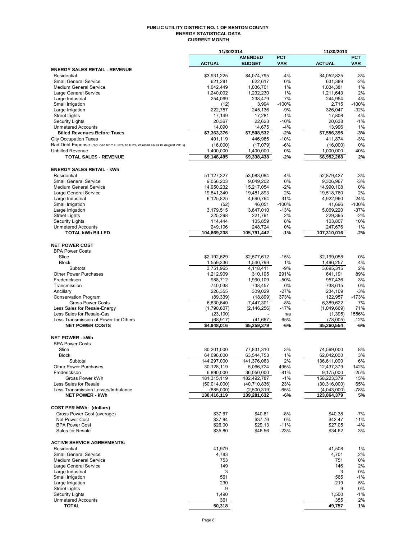#### **PUBLIC UTILITY DISTRICT NO. 1 OF BENTON COUNTY ENERGY STATISTICAL DATA CURRENT MONTH**

|                                                                              | 11/30/2014                |                           |                 | 11/30/2013                |               |  |  |
|------------------------------------------------------------------------------|---------------------------|---------------------------|-----------------|---------------------------|---------------|--|--|
|                                                                              |                           | <b>AMENDED</b>            | <b>PCT</b>      |                           | <b>PCT</b>    |  |  |
|                                                                              | <b>ACTUAL</b>             | <b>BUDGET</b>             | <b>VAR</b>      | <b>ACTUAL</b>             | <b>VAR</b>    |  |  |
| <b>ENERGY SALES RETAIL - REVENUE</b><br>Residential                          | \$3,931,225               | \$4,074,795               | -4%             | \$4,052,825               | $-3%$         |  |  |
| <b>Small General Service</b>                                                 | 621,281                   | 622,617                   | 0%              | 631,389                   | $-2%$         |  |  |
| Medium General Service                                                       | 1,042,449                 | 1,036,701                 | 1%              | 1,034,381                 | 1%            |  |  |
| Large General Service                                                        | 1,240,002                 | 1,232,230                 | 1%              | 1,211,643                 | 2%            |  |  |
| Large Industrial                                                             | 254,069                   | 238,479                   | 7%              | 244,954                   | 4%            |  |  |
| Small Irrigation                                                             | (12)                      | 3,994                     | $-100%$         | 2,715                     | $-100%$       |  |  |
| Large Irrigation                                                             | 222,757                   | 245,136                   | $-9%$           | 326,047                   | $-32%$        |  |  |
| <b>Street Lights</b>                                                         | 17,149                    | 17,281                    | $-1%$           | 17,808                    | $-4%$         |  |  |
| <b>Security Lights</b><br><b>Unmetered Accounts</b>                          | 20,367<br>14,090          | 22,623<br>14,675          | $-10%$<br>$-4%$ | 20,638<br>13,996          | $-1%$<br>1%   |  |  |
| <b>Billed Revenues Before Taxes</b>                                          | \$7,363,376               | \$7,508,532               | -2%             | \$7,556,395               | $-3%$         |  |  |
| <b>City Occupation Taxes</b>                                                 | 401,119                   | 446,985                   | $-10%$          | 411,874                   | $-3%$         |  |  |
| Bad Debt Expense (reduced from 0.25% to 0.2% of retail sales in August 2013) | (16,000)                  | (17,079)                  | -6%             | (16,000)                  | 0%            |  |  |
| <b>Unbilled Revenue</b>                                                      | 1,400,000                 | 1,400,000                 | 0%              | 1,000,000                 | 40%           |  |  |
| <b>TOTAL SALES - REVENUE</b>                                                 | \$9,148,495               | \$9,338,438               | -2%             | \$8,952,268               | 2%            |  |  |
|                                                                              |                           |                           |                 |                           |               |  |  |
| <b>ENERGY SALES RETAIL - kWh</b>                                             |                           |                           |                 |                           |               |  |  |
| Residential                                                                  | 51,127,327                | 53,083,094                | -4%             | 52,879,427                | $-3%$         |  |  |
| <b>Small General Service</b>                                                 | 9,056,203                 | 9,049,202                 | 0%              | 9,306,967                 | $-3%$         |  |  |
| <b>Medium General Service</b>                                                | 14,950,232                | 15,217,054                | $-2%$<br>2%     | 14,990,108                | 0%<br>2%      |  |  |
| Large General Service<br>Large Industrial                                    | 19,841,340<br>6,125,825   | 19,481,893<br>4,690,764   | 31%             | 19,518,760<br>4,922,960   | 24%           |  |  |
| Small Irrigation                                                             | (52)                      | 46,051                    | $-100%$         | 41,696                    | $-100%$       |  |  |
| Large Irrigation                                                             | 3,179,515                 | 3,647,010                 | $-13%$          | 5,069,220                 | $-37%$        |  |  |
| <b>Street Lights</b>                                                         | 225,298                   | 221,791                   | 2%              | 229,395                   | $-2%$         |  |  |
| <b>Security Lights</b>                                                       | 114,444                   | 105,859                   | 8%              | 103,807                   | 10%           |  |  |
| <b>Unmetered Accounts</b>                                                    | 249,106                   | 248,724                   | 0%              | 247,676                   | 1%            |  |  |
| <b>TOTAL kWh BILLED</b>                                                      | 104,869,238               | 105,791,442               | -1%             | 107,310,016               | $-2%$         |  |  |
|                                                                              |                           |                           |                 |                           |               |  |  |
| <b>NET POWER COST</b><br><b>BPA Power Costs</b>                              |                           |                           |                 |                           |               |  |  |
| Slice                                                                        | \$2,192,629               | \$2,577,612               | $-15%$          | \$2,199,058               | 0%            |  |  |
| <b>Block</b>                                                                 | 1,559,336                 | 1,540,799                 | 1%              | 1,496,257                 | 4%            |  |  |
| Subtotal                                                                     | 3,751,965                 | 4,118,411                 | $-9%$           | 3,695,315                 | 2%            |  |  |
| <b>Other Power Purchases</b>                                                 | 1,212,909                 | 310,195                   | 291%            | 641,191                   | 89%           |  |  |
| Frederickson                                                                 | 988,712                   | 1,990,109                 | $-50%$          | 957,436                   | 3%            |  |  |
| Transmission                                                                 | 740,038                   | 738,457                   | 0%              | 738,615                   | 0%            |  |  |
| Ancillary                                                                    | 226,355                   | 309,029                   | $-27%$          | 234,109                   | $-3%$         |  |  |
| <b>Conservation Program</b><br><b>Gross Power Costs</b>                      | (89, 339)<br>6,830,640    | (18, 899)<br>7,447,301    | 373%<br>-8%     | 122,957<br>6,389,622      | $-173%$<br>7% |  |  |
| Less Sales for Resale-Energy                                                 | (1,790,607)               | (2, 146, 256)             | $-17%$          | (1,049,669)               | 71%           |  |  |
| Less Sales for Resale-Gas                                                    | (23, 100)                 |                           | n/a             | (1, 395)                  | 1556%         |  |  |
| Less Transmission of Power for Others                                        | (68, 917)                 | (41, 667)                 | 65%             | (78,005)                  | $-12%$        |  |  |
| <b>NET POWER COSTS</b>                                                       | \$4,948,016               | \$5,259,379               | -6%             | \$5,260,554               | -6%           |  |  |
|                                                                              |                           |                           |                 |                           |               |  |  |
| <b>NET POWER - kWh</b>                                                       |                           |                           |                 |                           |               |  |  |
| <b>BPA Power Costs</b>                                                       |                           |                           |                 |                           |               |  |  |
| Slice                                                                        | 80,201,000                | 77,831,310                | 3%              | 74,569,000                | 8%            |  |  |
| RIOCK<br>Subtotal                                                            | 64,096,000<br>144,297,000 | 63,544,753<br>141,376,063 | $1\%$<br>2%     | 62,042,000<br>136,611,000 | 3%<br>6%      |  |  |
| <b>Other Power Purchases</b>                                                 | 30,128,119                | 5,066,724                 | 495%            | 12,437,379                | 142%          |  |  |
| Frederickson                                                                 | 6,890,000                 | 36,050,000                | -81%            | 9,175,000                 | $-25%$        |  |  |
| Gross Power kWh                                                              | 181,315,119               | 182,492,787               | $-1%$           | 158,223,379               | 15%           |  |  |
| Less Sales for Resale                                                        | (50,014,000)              | (40, 710, 836)            | 23%             | (30,316,000)              | 65%           |  |  |
| Less Transmission Losses/Imbalance                                           | (885,000)                 | (2,500,319)               | -65%            | (4,043,000)               | $-78%$        |  |  |
| <b>NET POWER - kWh</b>                                                       | 130,416,119               | 139,281,632               | -6%             | 123,864,379               | 5%            |  |  |
|                                                                              |                           |                           |                 |                           |               |  |  |
| <b>COST PER MWh: (dollars)</b><br>Gross Power Cost (average)                 | \$37.67                   | \$40.81                   | -8%             | \$40.38                   | -7%           |  |  |
| Net Power Cost                                                               | \$37.94                   | \$37.76                   | 0%              | \$42.47                   | $-11%$        |  |  |
| <b>BPA Power Cost</b>                                                        | \$26.00                   | \$29.13                   | $-11%$          | \$27.05                   | $-4%$         |  |  |
| Sales for Resale                                                             | \$35.80                   | \$46.56                   | $-23%$          | \$34.62                   | 3%            |  |  |
|                                                                              |                           |                           |                 |                           |               |  |  |
| <b>ACTIVE SERVICE AGREEMENTS:</b>                                            |                           |                           |                 |                           |               |  |  |
| Residential                                                                  | 41,979                    |                           |                 | 41,508                    | $1\%$         |  |  |
| <b>Small General Service</b>                                                 | 4,783                     |                           |                 | 4,701                     | 2%            |  |  |
| <b>Medium General Service</b>                                                | 753                       |                           |                 | 751                       | 0%<br>2%      |  |  |
| Large General Service<br>Large Industrial                                    | 149<br>3                  |                           |                 | 146<br>3                  | 0%            |  |  |
| Small Irrigation                                                             | 561                       |                           |                 | 565                       | $-1%$         |  |  |
| Large Irrigation                                                             | 230                       |                           |                 | 219                       | 5%            |  |  |
| <b>Street Lights</b>                                                         | 9                         |                           |                 | 9                         | 0%            |  |  |
| <b>Security Lights</b>                                                       | 1,490                     |                           |                 | 1,500                     | $-1%$         |  |  |
| <b>Unmetered Accounts</b>                                                    | 361                       |                           |                 | 355                       | 2%            |  |  |
| <b>TOTAL</b>                                                                 | 50,318                    |                           |                 | 49,757                    | 1%            |  |  |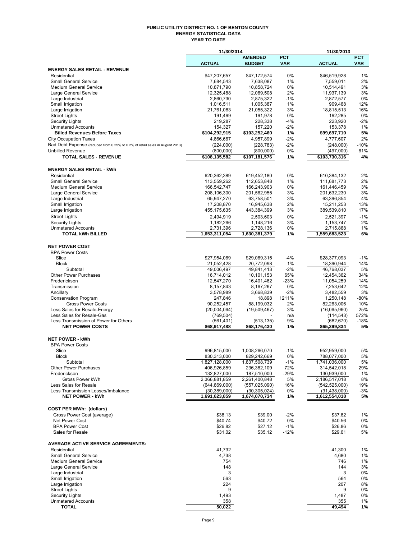#### **PUBLIC UTILITY DISTRICT NO. 1 OF BENTON COUNTY ENERGY STATISTICAL DATA YEAR TO DATE**

|                                                                              | 11/30/2014                   |                              |             | 11/30/2013                   |             |
|------------------------------------------------------------------------------|------------------------------|------------------------------|-------------|------------------------------|-------------|
|                                                                              |                              | <b>AMENDED</b>               | <b>PCT</b>  |                              | <b>PCT</b>  |
| <b>ENERGY SALES RETAIL - REVENUE</b>                                         | <b>ACTUAL</b>                | <b>BUDGET</b>                | <b>VAR</b>  | <b>ACTUAL</b>                | <b>VAR</b>  |
| Residential                                                                  | \$47,207,657                 | \$47,172,574                 | 0%          | \$46,519,928                 | 1%          |
| <b>Small General Service</b>                                                 | 7,684,543                    | 7,638,087                    | 1%          | 7,559,011                    | 2%          |
| <b>Medium General Service</b>                                                | 10,871,790                   | 10,858,724                   | 0%          | 10,514,491                   | 3%          |
| <b>Large General Service</b>                                                 | 12,325,488                   | 12,069,508                   | 2%          | 11,937,139                   | 3%          |
| Large Industrial<br>Small Irrigation                                         | 2,860,730<br>1,016,511       | 2,875,322<br>1,005,387       | $-1%$<br>1% | 2,872,577<br>909,468         | 0%<br>12%   |
| Large Irrigation                                                             | 21,761,083                   | 21,055,322                   | 3%          | 18,815,513                   | 16%         |
| <b>Street Lights</b>                                                         | 191,499                      | 191,978                      | 0%          | 192,285                      | 0%          |
| <b>Security Lights</b>                                                       | 219,287                      | 228,338                      | $-4%$       | 223.920                      | $-2%$       |
| <b>Unmetered Accounts</b>                                                    | 154,327                      | 157,220                      | $-2\%$      | 153,378                      | 1%          |
| <b>Billed Revenues Before Taxes</b>                                          | \$104,292,915                | \$103,252,460                | 1%          | \$99,697,710                 | 5%          |
| <b>City Occupation Taxes</b>                                                 | 4,866,667                    | 4,957,899                    | $-2%$       | 4,777,607                    | 2%          |
| Bad Debt Expense (reduced from 0.25% to 0.2% of retail sales in August 2013) | (224,000)                    | (228, 783)                   | $-2%$       | (248,000)                    | $-10%$      |
| <b>Unbilled Revenue</b><br><b>TOTAL SALES - REVENUE</b>                      | (800,000)<br>\$108,135,582   | (800,000)<br>\$107,181,576   | 0%<br>1%    | (497,000)<br>\$103,730,316   | 61%<br>4%   |
|                                                                              |                              |                              |             |                              |             |
| <b>ENERGY SALES RETAIL - kWh</b>                                             |                              |                              |             |                              |             |
| Residential                                                                  | 620,362,389                  | 619,452,180                  | 0%          | 610,384,132                  | 2%          |
| <b>Small General Service</b>                                                 | 113,559,262                  | 112,653,848                  | 1%          | 111,681,773                  | 2%          |
| <b>Medium General Service</b>                                                | 166,542,747                  | 166,243,903                  | $0\%$       | 161,446,459                  | 3%          |
| Large General Service                                                        | 208,106,300                  | 201,562,955                  | 3%          | 201,632,230                  | 3%          |
| Large Industrial                                                             | 65,947,270                   | 63,758,501                   | 3%          | 63,396,854                   | 4%          |
| Small Irrigation                                                             | 17,208,870                   | 16,945,638<br>443,384,399    | 2%<br>3%    | 15,211,253                   | 13%<br>17%  |
| Large Irrigation                                                             | 455,175,635                  |                              |             | 389,539,810                  |             |
| <b>Street Lights</b><br><b>Security Lights</b>                               | 2,494,919<br>1,182,266       | 2,503,603<br>1,148,216       | 0%<br>3%    | 2,521,397<br>1,153,747       | $-1%$<br>2% |
| <b>Unmetered Accounts</b>                                                    | 2,731,396                    | 2,728,136                    | 0%          | 2,715,868                    | 1%          |
| <b>TOTAL kWh BILLED</b>                                                      | 1,653,311,054                | 1,630,381,379                | 1%          | 1,559,683,523                | 6%          |
|                                                                              |                              |                              |             |                              |             |
| <b>NET POWER COST</b>                                                        |                              |                              |             |                              |             |
| <b>BPA Power Costs</b>                                                       |                              |                              |             |                              |             |
| Slice                                                                        | \$27,954,069                 | \$29,069,315                 | $-4%$       | \$28,377,093                 | $-1%$       |
| <b>Block</b><br>Subtotal                                                     | 21,052,428<br>49,006,497     | 20,772,098<br>49,841,413     | 1%<br>$-2%$ | 18,390,944<br>46,768,037     | 14%<br>5%   |
| <b>Other Power Purchases</b>                                                 | 16,714,012                   | 10,101,153                   | 65%         | 12,454,362                   | 34%         |
| Frederickson                                                                 | 12,547,270                   | 16,401,462                   | $-23%$      | 11,054,259                   | 14%         |
| Transmission                                                                 | 8,157,843                    | 8,167,267                    | 0%          | 7,253,642                    | 12%         |
| Ancillary                                                                    | 3,578,989                    | 3,668,839                    | $-2%$       | 3,482,559                    | 3%          |
| <b>Conservation Program</b>                                                  | 247,846                      | 18,898                       | 1211%       | 1,250,148                    | -80%        |
| <b>Gross Power Costs</b>                                                     | 90,252,457                   | 88,199,032                   | 2%          | 82,263,006                   | 10%         |
| Less Sales for Resale-Energy<br>Less Sales for Resale-Gas                    | (20,004,064)                 | (19,509,467)                 | 3%<br>n/a   | (16,065,960)<br>(114, 543)   | 25%<br>572% |
| Less Transmission of Power for Others                                        | (769, 504)<br>(561,401)      | (513, 135)                   | 9%          | (682, 670)                   | $-18%$      |
| <b>NET POWER COSTS</b>                                                       | \$68,917,488                 | \$68,176,430                 | 1%          | \$65,399,834                 | 5%          |
|                                                                              |                              |                              |             |                              |             |
| <b>NET POWER - kWh</b>                                                       |                              |                              |             |                              |             |
| <b>BPA Power Costs</b>                                                       |                              |                              |             |                              |             |
| Slice                                                                        | 996,815,000                  | 1,008,266,070                | $-1%$       | 952,959,000                  | 5%          |
| Block<br>Subtotal                                                            | 830,313,000                  | 829,242,669<br>1,837,508,739 | 0%<br>$-1%$ | 788,077,000<br>1,741,036,000 | 5%<br>5%    |
| <b>Other Power Purchases</b>                                                 | 1,827,128,000<br>406,926,859 | 236,382,109                  | 72%         | 314,542,018                  | 29%         |
| Frederickson                                                                 | 132,827,000                  | 187,510,000                  | $-29%$      | 130,939,000                  | 1%          |
| Gross Power kWh                                                              | 2,366,881,859                | 2,261,400,848                | 5%          | 2,186,517,018                | 8%          |
| Less Sales for Resale                                                        | (644, 869, 000)              | (557, 025, 090)              | 16%         | (542, 525, 000)              | 19%         |
| Less Transmission Losses/Imbalance                                           | (30, 389, 000)               | (30, 305, 024)               | 0%          | (31, 438, 000)               | $-3%$       |
| <b>NET POWER - kWh</b>                                                       | 1,691,623,859                | 1,674,070,734                | 1%          | 1,612,554,018                | 5%          |
| <b>COST PER MWh: (dollars)</b>                                               |                              |                              |             |                              |             |
| Gross Power Cost (average)                                                   | \$38.13                      | \$39.00                      | $-2%$       | \$37.62                      | 1%          |
| Net Power Cost                                                               | \$40.74                      | \$40.72                      | 0%          | \$40.56                      | 0%          |
| <b>BPA Power Cost</b>                                                        | \$26.82                      | \$27.12                      | $-1%$       | \$26.86                      | 0%          |
| Sales for Resale                                                             | \$31.02                      | \$35.12                      | $-12%$      | \$29.61                      | 5%          |
|                                                                              |                              |                              |             |                              |             |
| <b>AVERAGE ACTIVE SERVICE AGREEMENTS:</b>                                    |                              |                              |             |                              |             |
| Residential<br><b>Small General Service</b>                                  | 41,732                       |                              |             | 41,300                       | 1%          |
| <b>Medium General Service</b>                                                | 4,738<br>754                 |                              |             | 4,680<br>746                 | 1%<br>1%    |
| Large General Service                                                        | 148                          |                              |             | 144                          | 3%          |
| Large Industrial                                                             | 3                            |                              |             | 3                            | 0%          |
| Small Irrigation                                                             | 563                          |                              |             | 564                          | 0%          |
| Large Irrigation                                                             | 224                          |                              |             | 207                          | 8%          |
| <b>Street Lights</b>                                                         | 9                            |                              |             | 9                            | 0%          |
| <b>Security Lights</b>                                                       | 1,493                        |                              |             | 1,487                        | 0%          |
| <b>Unmetered Accounts</b><br><b>TOTAL</b>                                    | 358<br>50,022                |                              |             | 355<br>49,494                | 1%<br>1%    |
|                                                                              |                              |                              |             |                              |             |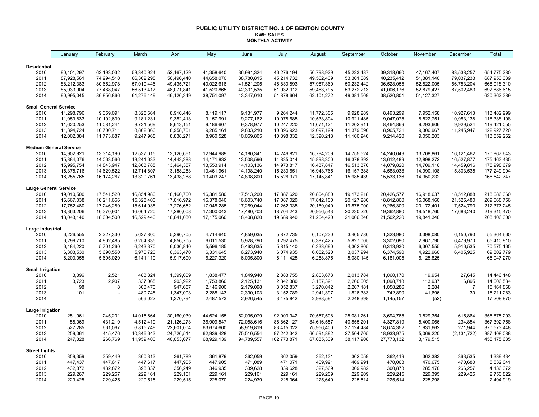#### **PUBLIC UTILITY DISTRICT NO. 1 OF BENTON COUNTY KWH SALES MONTHLY ACTIVITY**

|                               | January    | February   | March      | April      | May          | June       | July        | August     | September    | October    | November     | December       | Total         |
|-------------------------------|------------|------------|------------|------------|--------------|------------|-------------|------------|--------------|------------|--------------|----------------|---------------|
| Residential                   |            |            |            |            |              |            |             |            |              |            |              |                |               |
| 2010                          | 90,401,297 | 62,193,032 | 53,340,924 | 52,167,129 | 41,358,640   | 36.991.324 | 46,276,194  | 56,798,929 | 45,223,487   | 39.318.660 | 47, 167, 407 | 83,538,257     | 654,775,280   |
| 2011                          | 87,928,561 | 74,994,510 | 66,362,298 | 56,496,440 | 44,658,070   | 38,780,815 | 45,214,732  | 49,562,439 | 53,301,689   | 40,235,412 | 51,381,140   | 79,037,233     | 687,953,339   |
| 2012                          | 88,212,383 | 80,652,978 | 57,019,446 | 49,435,721 | 40,022,618   | 41,521,205 | 46,830,893  | 57,987,360 | 50,232,442   | 36,528,055 | 52,822,005   | 66,753,204     | 668,018,310   |
| 2013                          | 85,933,904 | 77,488,047 | 56,513,417 | 48,071,841 | 41,520,865   | 42,301,535 | 51,932,912  | 59,463,795 | 53,272,213   | 41,006,176 | 52,879,427   | 87,502,483     | 697,886,615   |
| 2014                          | 90,995,045 | 86,856,866 | 61,276,449 | 46,126,349 | 38,751,097   | 43,347,010 | 51,878,664  | 62,101,272 | 49,381,509   | 38,520,801 | 51,127,327   |                | 620,362,389   |
| <b>Small General Service</b>  |            |            |            |            |              |            |             |            |              |            |              |                |               |
| 2010                          | 11,298,796 | 9,359,091  | 8,325,664  | 8,910,446  | 8,119,117    | 9,131,977  | 9,264,244   | 11,772,305 | 9,928,289    | 8,493,299  | 7,952,158    | 10,927,613     | 113,482,999   |
| 2011                          | 11,059,833 | 10,192,630 | 9,181,231  | 9,382,413  | 9,157,991    | 9,277,162  | 10,078,685  | 10,533,804 | 10,921,485   | 9,047,075  | 8,522,751    | 10,983,138     | 118,338,198   |
| 2012                          | 11,620,253 | 11,081,244 | 8,731,569  | 8,613,151  | 9,186,607    | 9,378,977  | 10,247,220  | 11,671,124 | 11,202,911   | 8,464,869  | 9,293,606    | 9,929,524      | 119,421,055   |
| 2013                          | 11,394,724 | 10,700,711 | 8,862,866  | 8,958,701  | 9,285,161    | 9,833,210  | 10,896,923  | 12,097,199 | 11,379,590   | 8,965,721  | 9,306,967    | 11,245,947     | 122,927,720   |
| 2014                          | 12,002,884 | 11,773,687 | 9,247,968  | 8,838,271  | 8,960,528    | 10,069,805 | 10,898,332  | 12,390,218 | 11,106,946   | 9,214,420  | 9,056,203    |                | 113,559,262   |
| <b>Medium General Service</b> |            |            |            |            |              |            |             |            |              |            |              |                |               |
| 2010                          | 14,902,921 | 13,314,190 | 12,537,015 | 13,120,661 | 12,944,989   | 14,180,341 | 14,246,821  | 16,794,209 | 14,755,524   | 14,240,649 | 13,708,861   | 16,121,462     | 170,867,643   |
| 2011                          | 15,884,076 | 14,063,566 | 13,241,633 | 14,443,388 | 14, 171, 832 | 13,508,596 | 14,835,014  | 15,898,300 | 16,378,392   | 13,612,489 | 12,898,272   | 16,527,877     | 175,463,435   |
| 2012                          | 15,995,754 | 14,843,947 | 12,863,785 | 13,464,357 | 13,553,914   | 14,103,136 | 14,973,817  | 16,437,847 | 16,513,370   | 14,079,820 | 14,709,116   | 14,459,816     | 175,998,679   |
| 2013                          | 15,375,716 | 14,629,522 | 12,714,807 | 13,158,263 | 13,461,961   | 14,198,240 | 15,233,651  | 16,943,765 | 16, 157, 388 | 14,583,038 | 14,990,108   | 15,803,535     | 177,249,994   |
| 2014                          | 16,255,765 | 16,174,267 | 13,320,761 | 13,438,288 | 13,403,247   | 14,808,800 | 15,526,971  | 17,145,841 | 15,985,439   | 15,533,136 | 14,950,232   |                | 166,542,747   |
| <b>Large General Service</b>  |            |            |            |            |              |            |             |            |              |            |              |                |               |
| 2010                          | 19,010,500 | 17,541,520 | 16,854,980 | 18,160,760 | 16,381,580   | 17,513,200 | 17,387,620  | 20,804,880 | 19,173,218   | 20,426,577 | 16,918,637   | 18,512,888     | 218,686,360   |
| 2011                          | 16,667,038 | 16,211,666 | 15,328,400 | 17,016,972 | 16,378,040   | 16,603,740 | 17,087,020  | 17,842,100 | 20,127,280   | 18,812,860 | 16,068,160   | 21,525,480     | 209,668,756   |
| 2012                          | 17,752,480 | 17,246,280 | 15,614,938 | 17,276,652 | 17,948,285   | 17,269,044 | 17,262,035  | 20,169,040 | 19,875,000   | 19,266,300 | 20,172,401   | 17,524,790     | 217, 377, 245 |
| 2013                          | 18,363,206 | 16,370,904 | 16,064,720 | 17,280,008 | 17,300,043   | 17,480,703 | 18,704,243  | 20,956,543 | 20,230,220   | 19,362,880 | 19,518,760   | 17,683,240     | 219,315,470   |
| 2014                          | 18,043,140 | 18,004,500 | 16,529,440 | 16,641,080 | 17,175,060   | 18,408,820 | 19,689,940  | 21,264,420 | 21,006,340   | 21,502,220 | 19,841,340   |                | 208,106,300   |
| Large Industrial              |            |            |            |            |              |            |             |            |              |            |              |                |               |
| 2010                          | 6,226,555  | 2,227,330  | 5,627,800  | 5,390,705  | 4,714,640    | 4,859,035  | 5,872,735   | 6,107,230  | 3,465,780    | 1,323,980  | 3,398,080    | 6,150,790      | 55,364,660    |
| 2011                          | 6,299,710  | 4,802,485  | 6,254,835  | 4,856,705  | 6,011,530    | 5,928,790  | 6,292,475   | 6,387,425  | 5,827,005    | 3,302,090  | 2,967,790    | 6,479,970      | 65,410,810    |
| 2012                          | 6,484,220  | 5,701,260  | 6,243,370  | 6,036,840  | 5,596,185    | 5,463,635  | 5,815,140   | 6,333,690  | 4,362,805    | 6,313,930  | 6,307,555    | 5,916,535      | 70,575,165    |
| 2013                          | 6,303,530  | 5,690,550  | 5,970,720  | 6,363,470  | 6,331,645    | 6,273,940  | 6,074,935   | 6,052,520  | 3,037,994    | 6,374,590  | 4,922,960    | 6,405,925      | 69,802,779    |
| 2014                          | 6,203,055  | 5,695,020  | 6,141,110  | 5,917,690  | 6,227,320    | 6,005,800  | 6,111,425   | 6,258,875  | 5,080,145    | 6,181,005  | 6,125,825    |                | 65,947,270    |
| <b>Small Irrigation</b>       |            |            |            |            |              |            |             |            |              |            |              |                |               |
| 2010                          | 3,396      | 2,521      | 483,824    | 1,399,009  | 1,838,477    | 1,849,940  | 2,883,755   | 2,863,673  | 2,013,784    | 1,060,170  | 19,954       | 27,645         | 14,446,148    |
| 2011                          | 3,723      | 2,907      | 337,065    | 903,922    | 1,753,860    | 2,125,131  | 2,842,380   | 3,157,391  | 2,260,605    | 1,098,718  | 113,937      | 6,895          | 14,606,534    |
| 2012                          | 98         | 8          | 300,470    | 947,657    | 2,146,900    | 2,179,098  | 3,052,837   | 3,270,042  | 2,207,181    | 1,058,286  | 2,284        | $\overline{7}$ | 15, 164, 868  |
| 2013                          | 101        |            | 480,748    | 1,347,003  | 2,288,143    | 2,390,103  | 3,152,789   | 2,941,397  | 1,826,383    | 742,890    | 41,696       | 30             | 15,211,283    |
| 2014                          |            |            | 566,022    | 1,370,794  | 2,487,573    | 2,926,545  | 3,475,842   | 2,988,591  | 2,248,398    | 1,145,157  | (52)         |                | 17,208,870    |
| <b>Large Irrigation</b>       |            |            |            |            |              |            |             |            |              |            |              |                |               |
| 2010                          | 251,961    | 245,201    | 14,015,664 | 30,160,039 | 44,624,155   | 62,095,079 | 92,003,942  | 70,557,508 | 25,081,761   | 13,694,765 | 3,529,354    | 615,864        | 356,875,293   |
| 2011                          | 58,069     | 431,210    | 4,512,419  | 21,126,273 | 36,909,547   | 72,058,616 | 86,862,127  | 84,616,557 | 40,855,201   | 14,327,819 | 5,400,066    | 234,854        | 367,392,758   |
| 2012                          | 527,285    | 661,067    | 6,815,749  | 22,601,004 | 63,674,660   | 58,919,819 | 83,415,022  | 75,956,400 | 37, 124, 484 | 18,674,352 | 1,931,662    | 271,944        | 370,573,448   |
| 2013                          | 259,061    | 415,476    | 10,346,643 | 24,726,514 | 62,939,428   | 75,510,554 | 97,242,342  | 66,591,892 | 27,504,705   | 18,933,975 | 5,069,220    | (2, 131, 722)  | 387,408,088   |
| 2014                          | 247,328    | 266,769    | 11,959,400 | 40,053,677 | 68,929,139   | 94,789,557 | 102,773,871 | 67,085,339 | 38,117,908   | 27,773,132 | 3,179,515    |                | 455, 175, 635 |
| <b>Street Lights</b>          |            |            |            |            |              |            |             |            |              |            |              |                |               |
| 2010                          | 359,359    | 359,449    | 360,313    | 361,789    | 361,879      | 362,059    | 362,059     | 362,131    | 362,059      | 362,419    | 362,383      | 363,535        | 4,339,434     |
| 2011                          | 447,437    | 447,617    | 447,617    | 447,905    | 447,905      | 471,089    | 471,071     | 469,991    | 469,991      | 470,063    | 470,675      | 470,680        | 5,532,041     |
| 2012                          | 432,872    | 432,872    | 398,337    | 356,249    | 346,935      | 339,628    | 339,628     | 327,569    | 309,982      | 300,873    | 285,170      | 266,257        | 4,136,372     |
| 2013                          | 229,267    | 229,267    | 229,161    | 229,161    | 229,161      | 229,161    | 229,161     | 229,209    | 229,209      | 229,245    | 229,395      | 229,425        | 2,750,822     |
| 2014                          | 229,425    | 229,425    | 229,515    | 229,515    | 225,070      | 224,939    | 225,064     | 225,640    | 225,514      | 225,514    | 225,298      |                | 2,494,919     |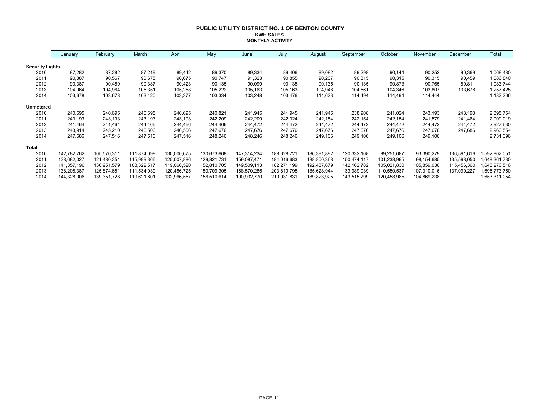#### **PUBLIC UTILITY DISTRICT NO. 1 OF BENTON COUNTY KWH SALES MONTHLY ACTIVITY**

|                        | January     | February    | March       | April       | May         | June        | July        | August      | September   | October     | November    | December    | Total         |
|------------------------|-------------|-------------|-------------|-------------|-------------|-------------|-------------|-------------|-------------|-------------|-------------|-------------|---------------|
| <b>Security Lights</b> |             |             |             |             |             |             |             |             |             |             |             |             |               |
| 2010                   | 87,282      | 87,282      | 87,219      | 89,442      | 89,370      | 89,334      | 89,406      | 89,082      | 89,298      | 90,144      | 90,252      | 90,369      | 1,068,480     |
| 2011                   | 90,387      | 90,567      | 90,675      | 90,675      | 90,747      | 91,323      | 90,855      | 90,207      | 90,315      | 90,315      | 90,315      | 90,459      | 1,086,840     |
| 2012                   | 90,387      | 90,459      | 90,387      | 90,423      | 90,135      | 90,099      | 90,135      | 90,135      | 90,135      | 90,873      | 90,765      | 89,811      | 1,083,744     |
| 2013                   | 104,964     | 104,964     | 105,351     | 105,258     | 105,222     | 105,163     | 105,163     | 104,948     | 104,561     | 104,346     | 103,807     | 103,678     | 1,257,425     |
| 2014                   | 103,678     | 103,678     | 103,420     | 103,377     | 103,334     | 103,248     | 103,476     | 114,623     | 114,494     | 114,494     | 114,444     |             | 1,182,266     |
| <b>Unmetered</b>       |             |             |             |             |             |             |             |             |             |             |             |             |               |
| 2010                   | 240,695     | 240,695     | 240,695     | 240,695     | 240,821     | 241,945     | 241,945     | 241,945     | 238,908     | 241,024     | 243,193     | 243,193     | 2,895,754     |
| 2011                   | 243.193     | 243,193     | 243,193     | 243,193     | 242,209     | 242,209     | 242,324     | 242,154     | 242,154     | 242,154     | 241,579     | 241,464     | 2,909,019     |
| 2012                   | 241,464     | 241,464     | 244,466     | 244,466     | 244,466     | 244,472     | 244,472     | 244,472     | 244,472     | 244,472     | 244,472     | 244,472     | 2,927,630     |
| 2013                   | 243,914     | 245,210     | 246,506     | 246,506     | 247,676     | 247,676     | 247,676     | 247,676     | 247,676     | 247,676     | 247,676     | 247,686     | 2,963,554     |
| 2014                   | 247,686     | 247,516     | 247,516     | 247,516     | 248,246     | 248,246     | 248,246     | 249,106     | 249,106     | 249,106     | 249,106     |             | 2,731,396     |
| <b>Total</b>           |             |             |             |             |             |             |             |             |             |             |             |             |               |
| 2010                   | 142,782,762 | 105,570,311 | 111,874,098 | 130,000,675 | 130,673,668 | 147,314,234 | 188,628,721 | 186,391,892 | 120,332,108 | 99,251,687  | 93,390,279  | 136,591,616 | ,592,802,051  |
| 2011                   | 138,682,027 | 121,480,351 | 115,999,366 | 125,007,886 | 129,821,731 | 159,087,471 | 184,016,683 | 188,800,368 | 150,474,117 | 101,238,995 | 98,154,685  | 135,598,050 | .648,361,730  |
| 2012                   | 141,357,196 | 130,951,579 | 108,322,517 | 119,066,520 | 152,810,705 | 149,509,113 | 182,271,199 | 192,487,679 | 142,162,782 | 105,021,830 | 105,859,036 | 115,456,360 | 1,645,276,516 |
| 2013                   | 138,208,387 | 125,874,651 | 111,534,939 | 120,486,725 | 153,709,305 | 168,570,285 | 203,819,795 | 185,628,944 | 133,989,939 | 110,550,537 | 107,310,016 | 137,090,227 | 1,696,773,750 |
| 2014                   | 144,328,006 | 139,351,728 | 119,621,601 | 132,966,557 | 156,510,614 | 190,932,770 | 210,931,831 | 189,823,925 | 143,515,799 | 120,458,985 | 104,869,238 |             | 1,653,311,054 |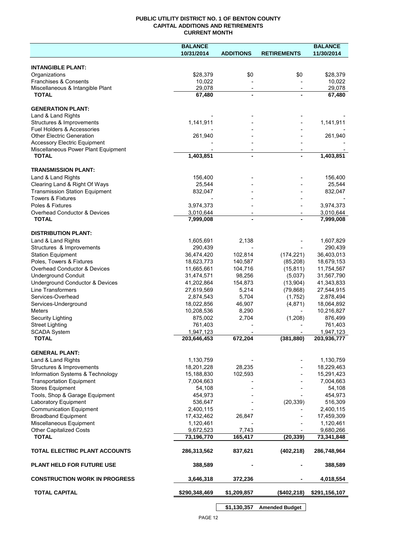## **PUBLIC UTILITY DISTRICT NO. 1 OF BENTON COUNTY CAPITAL ADDITIONS AND RETIREMENTS CURRENT MONTH**

| 10/31/2014<br>11/30/2014<br><b>ADDITIONS</b><br><b>RETIREMENTS</b><br><b>INTANGIBLE PLANT:</b><br>\$28,379<br>\$0<br>\$0<br>\$28,379<br>Organizations<br>Franchises & Consents<br>10,022<br>10,022<br>Miscellaneous & Intangible Plant<br>29,078<br>29,078<br>$\overline{\phantom{a}}$<br>$\overline{\phantom{a}}$<br><b>TOTAL</b><br>67,480<br>67,480<br>$\blacksquare$<br><b>GENERATION PLANT:</b><br>Land & Land Rights<br>Structures & Improvements<br>1,141,911<br>1,141,911<br>Fuel Holders & Accessories<br><b>Other Electric Generation</b><br>261,940<br>261,940<br><b>Accessory Electric Equipment</b><br>Miscellaneous Power Plant Equipment<br><b>TOTAL</b><br>1,403,851<br>1,403,851<br>$\blacksquare$<br><b>TRANSMISSION PLANT:</b><br>Land & Land Rights<br>156,400<br>156,400<br>Clearing Land & Right Of Ways<br>25,544<br>25,544<br><b>Transmission Station Equipment</b><br>832,047<br>832,047<br><b>Towers &amp; Fixtures</b><br>Poles & Fixtures<br>3,974,373<br>3,974,373<br>Overhead Conductor & Devices<br>3,010,644<br>3,010,644<br>7,999,008<br>7,999,008<br><b>TOTAL</b><br><b>DISTRIBUTION PLANT:</b><br>2,138<br>Land & Land Rights<br>1,605,691<br>1,607,829<br>Structures & Improvements<br>290,439<br>290,439<br><b>Station Equipment</b><br>36,474,420<br>102,814<br>(174, 221)<br>36,403,013<br>Poles, Towers & Fixtures<br>18,623,773<br>140,587<br>(85, 208)<br>18,679,153<br>Overhead Conductor & Devices<br>11,665,661<br>104,716<br>(15, 811)<br>11,754,567<br><b>Underground Conduit</b><br>31,474,571<br>98,256<br>(5,037)<br>31,567,790<br>Underground Conductor & Devices<br>154,873<br>(13,904)<br>41,343,833<br>41,202,864<br><b>Line Transformers</b><br>5,214<br>27,619,569<br>(79, 868)<br>27,544,915<br>Services-Overhead<br>2,874,543<br>5,704<br>(1,752)<br>2,878,494<br>Services-Underground<br>18,022,856<br>46,907<br>(4,871)<br>18,064,892<br><b>Meters</b><br>10,208,536<br>8,290<br>10,216,827<br>875,002<br>2,704<br>(1,208)<br>876,499<br>Security Lighting<br><b>Street Lighting</b><br>761,403<br>761,403<br><b>SCADA System</b><br>1,947,123<br>1,947,123<br>203,646,453<br>203,936,777<br><b>TOTAL</b><br>672,204<br>(381, 880)<br><b>GENERAL PLANT:</b><br>Land & Land Rights<br>1,130,759<br>1,130,759<br>Structures & Improvements<br>18,201,228<br>28,235<br>18,229,463<br>Information Systems & Technology<br>15,188,830<br>102,593<br>15,291,423<br><b>Transportation Equipment</b><br>7,004,663<br>7,004,663<br>Stores Equipment<br>54,108<br>54,108<br>Tools, Shop & Garage Equipment<br>454,973<br>454,973<br>Laboratory Equipment<br>536,647<br>516,309<br>(20, 339)<br><b>Communication Equipment</b><br>2,400,115<br>2,400,115<br><b>Broadband Equipment</b><br>17,432,462<br>26,847<br>17,459,309<br>Miscellaneous Equipment<br>1,120,461<br>1,120,461<br>9,672,523<br><b>Other Capitalized Costs</b><br>7,743<br>9,680,266<br>(20, 339)<br><b>TOTAL</b><br>73,196,770<br>165,417<br>73,341,848<br>TOTAL ELECTRIC PLANT ACCOUNTS<br>837,621<br>(402, 218)<br>286,748,964<br>286,313,562<br><b>PLANT HELD FOR FUTURE USE</b><br>388,589<br>388,589<br><b>CONSTRUCTION WORK IN PROGRESS</b><br>3,646,318<br>372,236<br>4,018,554<br><b>TOTAL CAPITAL</b><br>\$290,348,469<br>\$1,209,857<br>(\$402,218)<br>\$291,156,107 | <b>BALANCE</b> |  | <b>BALANCE</b> |
|----------------------------------------------------------------------------------------------------------------------------------------------------------------------------------------------------------------------------------------------------------------------------------------------------------------------------------------------------------------------------------------------------------------------------------------------------------------------------------------------------------------------------------------------------------------------------------------------------------------------------------------------------------------------------------------------------------------------------------------------------------------------------------------------------------------------------------------------------------------------------------------------------------------------------------------------------------------------------------------------------------------------------------------------------------------------------------------------------------------------------------------------------------------------------------------------------------------------------------------------------------------------------------------------------------------------------------------------------------------------------------------------------------------------------------------------------------------------------------------------------------------------------------------------------------------------------------------------------------------------------------------------------------------------------------------------------------------------------------------------------------------------------------------------------------------------------------------------------------------------------------------------------------------------------------------------------------------------------------------------------------------------------------------------------------------------------------------------------------------------------------------------------------------------------------------------------------------------------------------------------------------------------------------------------------------------------------------------------------------------------------------------------------------------------------------------------------------------------------------------------------------------------------------------------------------------------------------------------------------------------------------------------------------------------------------------------------------------------------------------------------------------------------------------------------------------------------------------------------------------------------------------------------------------------------------------------------------------------------------------------------------------------------------------------------------------------------------------------------------------------------------------------------------------------------------------------------------------------------------------------------------------------------------------------|----------------|--|----------------|
|                                                                                                                                                                                                                                                                                                                                                                                                                                                                                                                                                                                                                                                                                                                                                                                                                                                                                                                                                                                                                                                                                                                                                                                                                                                                                                                                                                                                                                                                                                                                                                                                                                                                                                                                                                                                                                                                                                                                                                                                                                                                                                                                                                                                                                                                                                                                                                                                                                                                                                                                                                                                                                                                                                                                                                                                                                                                                                                                                                                                                                                                                                                                                                                                                                                                                                    |                |  |                |
|                                                                                                                                                                                                                                                                                                                                                                                                                                                                                                                                                                                                                                                                                                                                                                                                                                                                                                                                                                                                                                                                                                                                                                                                                                                                                                                                                                                                                                                                                                                                                                                                                                                                                                                                                                                                                                                                                                                                                                                                                                                                                                                                                                                                                                                                                                                                                                                                                                                                                                                                                                                                                                                                                                                                                                                                                                                                                                                                                                                                                                                                                                                                                                                                                                                                                                    |                |  |                |
|                                                                                                                                                                                                                                                                                                                                                                                                                                                                                                                                                                                                                                                                                                                                                                                                                                                                                                                                                                                                                                                                                                                                                                                                                                                                                                                                                                                                                                                                                                                                                                                                                                                                                                                                                                                                                                                                                                                                                                                                                                                                                                                                                                                                                                                                                                                                                                                                                                                                                                                                                                                                                                                                                                                                                                                                                                                                                                                                                                                                                                                                                                                                                                                                                                                                                                    |                |  |                |
|                                                                                                                                                                                                                                                                                                                                                                                                                                                                                                                                                                                                                                                                                                                                                                                                                                                                                                                                                                                                                                                                                                                                                                                                                                                                                                                                                                                                                                                                                                                                                                                                                                                                                                                                                                                                                                                                                                                                                                                                                                                                                                                                                                                                                                                                                                                                                                                                                                                                                                                                                                                                                                                                                                                                                                                                                                                                                                                                                                                                                                                                                                                                                                                                                                                                                                    |                |  |                |
|                                                                                                                                                                                                                                                                                                                                                                                                                                                                                                                                                                                                                                                                                                                                                                                                                                                                                                                                                                                                                                                                                                                                                                                                                                                                                                                                                                                                                                                                                                                                                                                                                                                                                                                                                                                                                                                                                                                                                                                                                                                                                                                                                                                                                                                                                                                                                                                                                                                                                                                                                                                                                                                                                                                                                                                                                                                                                                                                                                                                                                                                                                                                                                                                                                                                                                    |                |  |                |
|                                                                                                                                                                                                                                                                                                                                                                                                                                                                                                                                                                                                                                                                                                                                                                                                                                                                                                                                                                                                                                                                                                                                                                                                                                                                                                                                                                                                                                                                                                                                                                                                                                                                                                                                                                                                                                                                                                                                                                                                                                                                                                                                                                                                                                                                                                                                                                                                                                                                                                                                                                                                                                                                                                                                                                                                                                                                                                                                                                                                                                                                                                                                                                                                                                                                                                    |                |  |                |
|                                                                                                                                                                                                                                                                                                                                                                                                                                                                                                                                                                                                                                                                                                                                                                                                                                                                                                                                                                                                                                                                                                                                                                                                                                                                                                                                                                                                                                                                                                                                                                                                                                                                                                                                                                                                                                                                                                                                                                                                                                                                                                                                                                                                                                                                                                                                                                                                                                                                                                                                                                                                                                                                                                                                                                                                                                                                                                                                                                                                                                                                                                                                                                                                                                                                                                    |                |  |                |
|                                                                                                                                                                                                                                                                                                                                                                                                                                                                                                                                                                                                                                                                                                                                                                                                                                                                                                                                                                                                                                                                                                                                                                                                                                                                                                                                                                                                                                                                                                                                                                                                                                                                                                                                                                                                                                                                                                                                                                                                                                                                                                                                                                                                                                                                                                                                                                                                                                                                                                                                                                                                                                                                                                                                                                                                                                                                                                                                                                                                                                                                                                                                                                                                                                                                                                    |                |  |                |
|                                                                                                                                                                                                                                                                                                                                                                                                                                                                                                                                                                                                                                                                                                                                                                                                                                                                                                                                                                                                                                                                                                                                                                                                                                                                                                                                                                                                                                                                                                                                                                                                                                                                                                                                                                                                                                                                                                                                                                                                                                                                                                                                                                                                                                                                                                                                                                                                                                                                                                                                                                                                                                                                                                                                                                                                                                                                                                                                                                                                                                                                                                                                                                                                                                                                                                    |                |  |                |
|                                                                                                                                                                                                                                                                                                                                                                                                                                                                                                                                                                                                                                                                                                                                                                                                                                                                                                                                                                                                                                                                                                                                                                                                                                                                                                                                                                                                                                                                                                                                                                                                                                                                                                                                                                                                                                                                                                                                                                                                                                                                                                                                                                                                                                                                                                                                                                                                                                                                                                                                                                                                                                                                                                                                                                                                                                                                                                                                                                                                                                                                                                                                                                                                                                                                                                    |                |  |                |
|                                                                                                                                                                                                                                                                                                                                                                                                                                                                                                                                                                                                                                                                                                                                                                                                                                                                                                                                                                                                                                                                                                                                                                                                                                                                                                                                                                                                                                                                                                                                                                                                                                                                                                                                                                                                                                                                                                                                                                                                                                                                                                                                                                                                                                                                                                                                                                                                                                                                                                                                                                                                                                                                                                                                                                                                                                                                                                                                                                                                                                                                                                                                                                                                                                                                                                    |                |  |                |
|                                                                                                                                                                                                                                                                                                                                                                                                                                                                                                                                                                                                                                                                                                                                                                                                                                                                                                                                                                                                                                                                                                                                                                                                                                                                                                                                                                                                                                                                                                                                                                                                                                                                                                                                                                                                                                                                                                                                                                                                                                                                                                                                                                                                                                                                                                                                                                                                                                                                                                                                                                                                                                                                                                                                                                                                                                                                                                                                                                                                                                                                                                                                                                                                                                                                                                    |                |  |                |
|                                                                                                                                                                                                                                                                                                                                                                                                                                                                                                                                                                                                                                                                                                                                                                                                                                                                                                                                                                                                                                                                                                                                                                                                                                                                                                                                                                                                                                                                                                                                                                                                                                                                                                                                                                                                                                                                                                                                                                                                                                                                                                                                                                                                                                                                                                                                                                                                                                                                                                                                                                                                                                                                                                                                                                                                                                                                                                                                                                                                                                                                                                                                                                                                                                                                                                    |                |  |                |
|                                                                                                                                                                                                                                                                                                                                                                                                                                                                                                                                                                                                                                                                                                                                                                                                                                                                                                                                                                                                                                                                                                                                                                                                                                                                                                                                                                                                                                                                                                                                                                                                                                                                                                                                                                                                                                                                                                                                                                                                                                                                                                                                                                                                                                                                                                                                                                                                                                                                                                                                                                                                                                                                                                                                                                                                                                                                                                                                                                                                                                                                                                                                                                                                                                                                                                    |                |  |                |
|                                                                                                                                                                                                                                                                                                                                                                                                                                                                                                                                                                                                                                                                                                                                                                                                                                                                                                                                                                                                                                                                                                                                                                                                                                                                                                                                                                                                                                                                                                                                                                                                                                                                                                                                                                                                                                                                                                                                                                                                                                                                                                                                                                                                                                                                                                                                                                                                                                                                                                                                                                                                                                                                                                                                                                                                                                                                                                                                                                                                                                                                                                                                                                                                                                                                                                    |                |  |                |
|                                                                                                                                                                                                                                                                                                                                                                                                                                                                                                                                                                                                                                                                                                                                                                                                                                                                                                                                                                                                                                                                                                                                                                                                                                                                                                                                                                                                                                                                                                                                                                                                                                                                                                                                                                                                                                                                                                                                                                                                                                                                                                                                                                                                                                                                                                                                                                                                                                                                                                                                                                                                                                                                                                                                                                                                                                                                                                                                                                                                                                                                                                                                                                                                                                                                                                    |                |  |                |
|                                                                                                                                                                                                                                                                                                                                                                                                                                                                                                                                                                                                                                                                                                                                                                                                                                                                                                                                                                                                                                                                                                                                                                                                                                                                                                                                                                                                                                                                                                                                                                                                                                                                                                                                                                                                                                                                                                                                                                                                                                                                                                                                                                                                                                                                                                                                                                                                                                                                                                                                                                                                                                                                                                                                                                                                                                                                                                                                                                                                                                                                                                                                                                                                                                                                                                    |                |  |                |
|                                                                                                                                                                                                                                                                                                                                                                                                                                                                                                                                                                                                                                                                                                                                                                                                                                                                                                                                                                                                                                                                                                                                                                                                                                                                                                                                                                                                                                                                                                                                                                                                                                                                                                                                                                                                                                                                                                                                                                                                                                                                                                                                                                                                                                                                                                                                                                                                                                                                                                                                                                                                                                                                                                                                                                                                                                                                                                                                                                                                                                                                                                                                                                                                                                                                                                    |                |  |                |
|                                                                                                                                                                                                                                                                                                                                                                                                                                                                                                                                                                                                                                                                                                                                                                                                                                                                                                                                                                                                                                                                                                                                                                                                                                                                                                                                                                                                                                                                                                                                                                                                                                                                                                                                                                                                                                                                                                                                                                                                                                                                                                                                                                                                                                                                                                                                                                                                                                                                                                                                                                                                                                                                                                                                                                                                                                                                                                                                                                                                                                                                                                                                                                                                                                                                                                    |                |  |                |
|                                                                                                                                                                                                                                                                                                                                                                                                                                                                                                                                                                                                                                                                                                                                                                                                                                                                                                                                                                                                                                                                                                                                                                                                                                                                                                                                                                                                                                                                                                                                                                                                                                                                                                                                                                                                                                                                                                                                                                                                                                                                                                                                                                                                                                                                                                                                                                                                                                                                                                                                                                                                                                                                                                                                                                                                                                                                                                                                                                                                                                                                                                                                                                                                                                                                                                    |                |  |                |
|                                                                                                                                                                                                                                                                                                                                                                                                                                                                                                                                                                                                                                                                                                                                                                                                                                                                                                                                                                                                                                                                                                                                                                                                                                                                                                                                                                                                                                                                                                                                                                                                                                                                                                                                                                                                                                                                                                                                                                                                                                                                                                                                                                                                                                                                                                                                                                                                                                                                                                                                                                                                                                                                                                                                                                                                                                                                                                                                                                                                                                                                                                                                                                                                                                                                                                    |                |  |                |
|                                                                                                                                                                                                                                                                                                                                                                                                                                                                                                                                                                                                                                                                                                                                                                                                                                                                                                                                                                                                                                                                                                                                                                                                                                                                                                                                                                                                                                                                                                                                                                                                                                                                                                                                                                                                                                                                                                                                                                                                                                                                                                                                                                                                                                                                                                                                                                                                                                                                                                                                                                                                                                                                                                                                                                                                                                                                                                                                                                                                                                                                                                                                                                                                                                                                                                    |                |  |                |
|                                                                                                                                                                                                                                                                                                                                                                                                                                                                                                                                                                                                                                                                                                                                                                                                                                                                                                                                                                                                                                                                                                                                                                                                                                                                                                                                                                                                                                                                                                                                                                                                                                                                                                                                                                                                                                                                                                                                                                                                                                                                                                                                                                                                                                                                                                                                                                                                                                                                                                                                                                                                                                                                                                                                                                                                                                                                                                                                                                                                                                                                                                                                                                                                                                                                                                    |                |  |                |
|                                                                                                                                                                                                                                                                                                                                                                                                                                                                                                                                                                                                                                                                                                                                                                                                                                                                                                                                                                                                                                                                                                                                                                                                                                                                                                                                                                                                                                                                                                                                                                                                                                                                                                                                                                                                                                                                                                                                                                                                                                                                                                                                                                                                                                                                                                                                                                                                                                                                                                                                                                                                                                                                                                                                                                                                                                                                                                                                                                                                                                                                                                                                                                                                                                                                                                    |                |  |                |
|                                                                                                                                                                                                                                                                                                                                                                                                                                                                                                                                                                                                                                                                                                                                                                                                                                                                                                                                                                                                                                                                                                                                                                                                                                                                                                                                                                                                                                                                                                                                                                                                                                                                                                                                                                                                                                                                                                                                                                                                                                                                                                                                                                                                                                                                                                                                                                                                                                                                                                                                                                                                                                                                                                                                                                                                                                                                                                                                                                                                                                                                                                                                                                                                                                                                                                    |                |  |                |
|                                                                                                                                                                                                                                                                                                                                                                                                                                                                                                                                                                                                                                                                                                                                                                                                                                                                                                                                                                                                                                                                                                                                                                                                                                                                                                                                                                                                                                                                                                                                                                                                                                                                                                                                                                                                                                                                                                                                                                                                                                                                                                                                                                                                                                                                                                                                                                                                                                                                                                                                                                                                                                                                                                                                                                                                                                                                                                                                                                                                                                                                                                                                                                                                                                                                                                    |                |  |                |
|                                                                                                                                                                                                                                                                                                                                                                                                                                                                                                                                                                                                                                                                                                                                                                                                                                                                                                                                                                                                                                                                                                                                                                                                                                                                                                                                                                                                                                                                                                                                                                                                                                                                                                                                                                                                                                                                                                                                                                                                                                                                                                                                                                                                                                                                                                                                                                                                                                                                                                                                                                                                                                                                                                                                                                                                                                                                                                                                                                                                                                                                                                                                                                                                                                                                                                    |                |  |                |
|                                                                                                                                                                                                                                                                                                                                                                                                                                                                                                                                                                                                                                                                                                                                                                                                                                                                                                                                                                                                                                                                                                                                                                                                                                                                                                                                                                                                                                                                                                                                                                                                                                                                                                                                                                                                                                                                                                                                                                                                                                                                                                                                                                                                                                                                                                                                                                                                                                                                                                                                                                                                                                                                                                                                                                                                                                                                                                                                                                                                                                                                                                                                                                                                                                                                                                    |                |  |                |
|                                                                                                                                                                                                                                                                                                                                                                                                                                                                                                                                                                                                                                                                                                                                                                                                                                                                                                                                                                                                                                                                                                                                                                                                                                                                                                                                                                                                                                                                                                                                                                                                                                                                                                                                                                                                                                                                                                                                                                                                                                                                                                                                                                                                                                                                                                                                                                                                                                                                                                                                                                                                                                                                                                                                                                                                                                                                                                                                                                                                                                                                                                                                                                                                                                                                                                    |                |  |                |
|                                                                                                                                                                                                                                                                                                                                                                                                                                                                                                                                                                                                                                                                                                                                                                                                                                                                                                                                                                                                                                                                                                                                                                                                                                                                                                                                                                                                                                                                                                                                                                                                                                                                                                                                                                                                                                                                                                                                                                                                                                                                                                                                                                                                                                                                                                                                                                                                                                                                                                                                                                                                                                                                                                                                                                                                                                                                                                                                                                                                                                                                                                                                                                                                                                                                                                    |                |  |                |
|                                                                                                                                                                                                                                                                                                                                                                                                                                                                                                                                                                                                                                                                                                                                                                                                                                                                                                                                                                                                                                                                                                                                                                                                                                                                                                                                                                                                                                                                                                                                                                                                                                                                                                                                                                                                                                                                                                                                                                                                                                                                                                                                                                                                                                                                                                                                                                                                                                                                                                                                                                                                                                                                                                                                                                                                                                                                                                                                                                                                                                                                                                                                                                                                                                                                                                    |                |  |                |
|                                                                                                                                                                                                                                                                                                                                                                                                                                                                                                                                                                                                                                                                                                                                                                                                                                                                                                                                                                                                                                                                                                                                                                                                                                                                                                                                                                                                                                                                                                                                                                                                                                                                                                                                                                                                                                                                                                                                                                                                                                                                                                                                                                                                                                                                                                                                                                                                                                                                                                                                                                                                                                                                                                                                                                                                                                                                                                                                                                                                                                                                                                                                                                                                                                                                                                    |                |  |                |
|                                                                                                                                                                                                                                                                                                                                                                                                                                                                                                                                                                                                                                                                                                                                                                                                                                                                                                                                                                                                                                                                                                                                                                                                                                                                                                                                                                                                                                                                                                                                                                                                                                                                                                                                                                                                                                                                                                                                                                                                                                                                                                                                                                                                                                                                                                                                                                                                                                                                                                                                                                                                                                                                                                                                                                                                                                                                                                                                                                                                                                                                                                                                                                                                                                                                                                    |                |  |                |
|                                                                                                                                                                                                                                                                                                                                                                                                                                                                                                                                                                                                                                                                                                                                                                                                                                                                                                                                                                                                                                                                                                                                                                                                                                                                                                                                                                                                                                                                                                                                                                                                                                                                                                                                                                                                                                                                                                                                                                                                                                                                                                                                                                                                                                                                                                                                                                                                                                                                                                                                                                                                                                                                                                                                                                                                                                                                                                                                                                                                                                                                                                                                                                                                                                                                                                    |                |  |                |
|                                                                                                                                                                                                                                                                                                                                                                                                                                                                                                                                                                                                                                                                                                                                                                                                                                                                                                                                                                                                                                                                                                                                                                                                                                                                                                                                                                                                                                                                                                                                                                                                                                                                                                                                                                                                                                                                                                                                                                                                                                                                                                                                                                                                                                                                                                                                                                                                                                                                                                                                                                                                                                                                                                                                                                                                                                                                                                                                                                                                                                                                                                                                                                                                                                                                                                    |                |  |                |
|                                                                                                                                                                                                                                                                                                                                                                                                                                                                                                                                                                                                                                                                                                                                                                                                                                                                                                                                                                                                                                                                                                                                                                                                                                                                                                                                                                                                                                                                                                                                                                                                                                                                                                                                                                                                                                                                                                                                                                                                                                                                                                                                                                                                                                                                                                                                                                                                                                                                                                                                                                                                                                                                                                                                                                                                                                                                                                                                                                                                                                                                                                                                                                                                                                                                                                    |                |  |                |
|                                                                                                                                                                                                                                                                                                                                                                                                                                                                                                                                                                                                                                                                                                                                                                                                                                                                                                                                                                                                                                                                                                                                                                                                                                                                                                                                                                                                                                                                                                                                                                                                                                                                                                                                                                                                                                                                                                                                                                                                                                                                                                                                                                                                                                                                                                                                                                                                                                                                                                                                                                                                                                                                                                                                                                                                                                                                                                                                                                                                                                                                                                                                                                                                                                                                                                    |                |  |                |
|                                                                                                                                                                                                                                                                                                                                                                                                                                                                                                                                                                                                                                                                                                                                                                                                                                                                                                                                                                                                                                                                                                                                                                                                                                                                                                                                                                                                                                                                                                                                                                                                                                                                                                                                                                                                                                                                                                                                                                                                                                                                                                                                                                                                                                                                                                                                                                                                                                                                                                                                                                                                                                                                                                                                                                                                                                                                                                                                                                                                                                                                                                                                                                                                                                                                                                    |                |  |                |
|                                                                                                                                                                                                                                                                                                                                                                                                                                                                                                                                                                                                                                                                                                                                                                                                                                                                                                                                                                                                                                                                                                                                                                                                                                                                                                                                                                                                                                                                                                                                                                                                                                                                                                                                                                                                                                                                                                                                                                                                                                                                                                                                                                                                                                                                                                                                                                                                                                                                                                                                                                                                                                                                                                                                                                                                                                                                                                                                                                                                                                                                                                                                                                                                                                                                                                    |                |  |                |
|                                                                                                                                                                                                                                                                                                                                                                                                                                                                                                                                                                                                                                                                                                                                                                                                                                                                                                                                                                                                                                                                                                                                                                                                                                                                                                                                                                                                                                                                                                                                                                                                                                                                                                                                                                                                                                                                                                                                                                                                                                                                                                                                                                                                                                                                                                                                                                                                                                                                                                                                                                                                                                                                                                                                                                                                                                                                                                                                                                                                                                                                                                                                                                                                                                                                                                    |                |  |                |
|                                                                                                                                                                                                                                                                                                                                                                                                                                                                                                                                                                                                                                                                                                                                                                                                                                                                                                                                                                                                                                                                                                                                                                                                                                                                                                                                                                                                                                                                                                                                                                                                                                                                                                                                                                                                                                                                                                                                                                                                                                                                                                                                                                                                                                                                                                                                                                                                                                                                                                                                                                                                                                                                                                                                                                                                                                                                                                                                                                                                                                                                                                                                                                                                                                                                                                    |                |  |                |
|                                                                                                                                                                                                                                                                                                                                                                                                                                                                                                                                                                                                                                                                                                                                                                                                                                                                                                                                                                                                                                                                                                                                                                                                                                                                                                                                                                                                                                                                                                                                                                                                                                                                                                                                                                                                                                                                                                                                                                                                                                                                                                                                                                                                                                                                                                                                                                                                                                                                                                                                                                                                                                                                                                                                                                                                                                                                                                                                                                                                                                                                                                                                                                                                                                                                                                    |                |  |                |
|                                                                                                                                                                                                                                                                                                                                                                                                                                                                                                                                                                                                                                                                                                                                                                                                                                                                                                                                                                                                                                                                                                                                                                                                                                                                                                                                                                                                                                                                                                                                                                                                                                                                                                                                                                                                                                                                                                                                                                                                                                                                                                                                                                                                                                                                                                                                                                                                                                                                                                                                                                                                                                                                                                                                                                                                                                                                                                                                                                                                                                                                                                                                                                                                                                                                                                    |                |  |                |
|                                                                                                                                                                                                                                                                                                                                                                                                                                                                                                                                                                                                                                                                                                                                                                                                                                                                                                                                                                                                                                                                                                                                                                                                                                                                                                                                                                                                                                                                                                                                                                                                                                                                                                                                                                                                                                                                                                                                                                                                                                                                                                                                                                                                                                                                                                                                                                                                                                                                                                                                                                                                                                                                                                                                                                                                                                                                                                                                                                                                                                                                                                                                                                                                                                                                                                    |                |  |                |
|                                                                                                                                                                                                                                                                                                                                                                                                                                                                                                                                                                                                                                                                                                                                                                                                                                                                                                                                                                                                                                                                                                                                                                                                                                                                                                                                                                                                                                                                                                                                                                                                                                                                                                                                                                                                                                                                                                                                                                                                                                                                                                                                                                                                                                                                                                                                                                                                                                                                                                                                                                                                                                                                                                                                                                                                                                                                                                                                                                                                                                                                                                                                                                                                                                                                                                    |                |  |                |
|                                                                                                                                                                                                                                                                                                                                                                                                                                                                                                                                                                                                                                                                                                                                                                                                                                                                                                                                                                                                                                                                                                                                                                                                                                                                                                                                                                                                                                                                                                                                                                                                                                                                                                                                                                                                                                                                                                                                                                                                                                                                                                                                                                                                                                                                                                                                                                                                                                                                                                                                                                                                                                                                                                                                                                                                                                                                                                                                                                                                                                                                                                                                                                                                                                                                                                    |                |  |                |
|                                                                                                                                                                                                                                                                                                                                                                                                                                                                                                                                                                                                                                                                                                                                                                                                                                                                                                                                                                                                                                                                                                                                                                                                                                                                                                                                                                                                                                                                                                                                                                                                                                                                                                                                                                                                                                                                                                                                                                                                                                                                                                                                                                                                                                                                                                                                                                                                                                                                                                                                                                                                                                                                                                                                                                                                                                                                                                                                                                                                                                                                                                                                                                                                                                                                                                    |                |  |                |
|                                                                                                                                                                                                                                                                                                                                                                                                                                                                                                                                                                                                                                                                                                                                                                                                                                                                                                                                                                                                                                                                                                                                                                                                                                                                                                                                                                                                                                                                                                                                                                                                                                                                                                                                                                                                                                                                                                                                                                                                                                                                                                                                                                                                                                                                                                                                                                                                                                                                                                                                                                                                                                                                                                                                                                                                                                                                                                                                                                                                                                                                                                                                                                                                                                                                                                    |                |  |                |
|                                                                                                                                                                                                                                                                                                                                                                                                                                                                                                                                                                                                                                                                                                                                                                                                                                                                                                                                                                                                                                                                                                                                                                                                                                                                                                                                                                                                                                                                                                                                                                                                                                                                                                                                                                                                                                                                                                                                                                                                                                                                                                                                                                                                                                                                                                                                                                                                                                                                                                                                                                                                                                                                                                                                                                                                                                                                                                                                                                                                                                                                                                                                                                                                                                                                                                    |                |  |                |
|                                                                                                                                                                                                                                                                                                                                                                                                                                                                                                                                                                                                                                                                                                                                                                                                                                                                                                                                                                                                                                                                                                                                                                                                                                                                                                                                                                                                                                                                                                                                                                                                                                                                                                                                                                                                                                                                                                                                                                                                                                                                                                                                                                                                                                                                                                                                                                                                                                                                                                                                                                                                                                                                                                                                                                                                                                                                                                                                                                                                                                                                                                                                                                                                                                                                                                    |                |  |                |
|                                                                                                                                                                                                                                                                                                                                                                                                                                                                                                                                                                                                                                                                                                                                                                                                                                                                                                                                                                                                                                                                                                                                                                                                                                                                                                                                                                                                                                                                                                                                                                                                                                                                                                                                                                                                                                                                                                                                                                                                                                                                                                                                                                                                                                                                                                                                                                                                                                                                                                                                                                                                                                                                                                                                                                                                                                                                                                                                                                                                                                                                                                                                                                                                                                                                                                    |                |  |                |
|                                                                                                                                                                                                                                                                                                                                                                                                                                                                                                                                                                                                                                                                                                                                                                                                                                                                                                                                                                                                                                                                                                                                                                                                                                                                                                                                                                                                                                                                                                                                                                                                                                                                                                                                                                                                                                                                                                                                                                                                                                                                                                                                                                                                                                                                                                                                                                                                                                                                                                                                                                                                                                                                                                                                                                                                                                                                                                                                                                                                                                                                                                                                                                                                                                                                                                    |                |  |                |
|                                                                                                                                                                                                                                                                                                                                                                                                                                                                                                                                                                                                                                                                                                                                                                                                                                                                                                                                                                                                                                                                                                                                                                                                                                                                                                                                                                                                                                                                                                                                                                                                                                                                                                                                                                                                                                                                                                                                                                                                                                                                                                                                                                                                                                                                                                                                                                                                                                                                                                                                                                                                                                                                                                                                                                                                                                                                                                                                                                                                                                                                                                                                                                                                                                                                                                    |                |  |                |
|                                                                                                                                                                                                                                                                                                                                                                                                                                                                                                                                                                                                                                                                                                                                                                                                                                                                                                                                                                                                                                                                                                                                                                                                                                                                                                                                                                                                                                                                                                                                                                                                                                                                                                                                                                                                                                                                                                                                                                                                                                                                                                                                                                                                                                                                                                                                                                                                                                                                                                                                                                                                                                                                                                                                                                                                                                                                                                                                                                                                                                                                                                                                                                                                                                                                                                    |                |  |                |
|                                                                                                                                                                                                                                                                                                                                                                                                                                                                                                                                                                                                                                                                                                                                                                                                                                                                                                                                                                                                                                                                                                                                                                                                                                                                                                                                                                                                                                                                                                                                                                                                                                                                                                                                                                                                                                                                                                                                                                                                                                                                                                                                                                                                                                                                                                                                                                                                                                                                                                                                                                                                                                                                                                                                                                                                                                                                                                                                                                                                                                                                                                                                                                                                                                                                                                    |                |  |                |

**\$1,130,357 Amended Budget**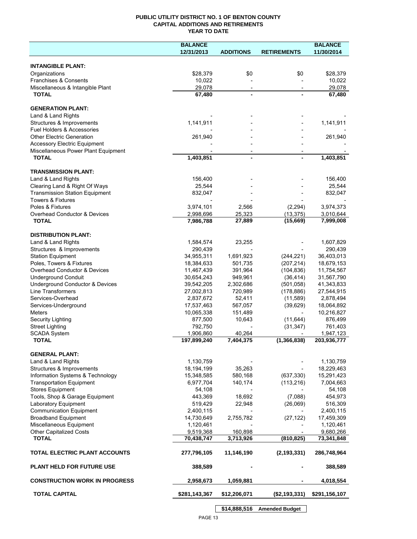## **PUBLIC UTILITY DISTRICT NO. 1 OF BENTON COUNTY CAPITAL ADDITIONS AND RETIREMENTS YEAR TO DATE**

|                                                                            | <b>BALANCE</b> |                          |                    | <b>BALANCE</b> |
|----------------------------------------------------------------------------|----------------|--------------------------|--------------------|----------------|
|                                                                            | 12/31/2013     | <b>ADDITIONS</b>         | <b>RETIREMENTS</b> | 11/30/2014     |
|                                                                            |                |                          |                    |                |
| <b>INTANGIBLE PLANT:</b>                                                   |                |                          |                    |                |
| Organizations                                                              | \$28,379       | \$0                      | \$0                | \$28,379       |
| Franchises & Consents                                                      | 10,022         |                          |                    | 10,022         |
| Miscellaneous & Intangible Plant                                           | 29,078         | $\overline{\phantom{a}}$ |                    | 29,078         |
| <b>TOTAL</b>                                                               | 67,480         |                          |                    | 67,480         |
|                                                                            |                |                          |                    |                |
| <b>GENERATION PLANT:</b>                                                   |                |                          |                    |                |
| Land & Land Rights                                                         | 1,141,911      |                          |                    |                |
| Structures & Improvements<br>Fuel Holders & Accessories                    |                |                          |                    | 1,141,911      |
|                                                                            | 261,940        |                          |                    |                |
| <b>Other Electric Generation</b>                                           |                |                          |                    | 261,940        |
| <b>Accessory Electric Equipment</b><br>Miscellaneous Power Plant Equipment |                |                          |                    |                |
| <b>TOTAL</b>                                                               | 1,403,851      |                          |                    | 1,403,851      |
|                                                                            |                |                          |                    |                |
| <b>TRANSMISSION PLANT:</b>                                                 |                |                          |                    |                |
| Land & Land Rights                                                         | 156,400        |                          |                    | 156,400        |
| Clearing Land & Right Of Ways                                              | 25,544         |                          |                    | 25,544         |
| <b>Transmission Station Equipment</b>                                      | 832,047        |                          |                    | 832,047        |
| <b>Towers &amp; Fixtures</b>                                               |                |                          |                    |                |
| Poles & Fixtures                                                           | 3,974,101      | 2,566                    | (2, 294)           | 3,974,373      |
| Overhead Conductor & Devices                                               | 2,998,696      | 25,323                   | (13, 375)          | 3,010,644      |
| <b>TOTAL</b>                                                               | 7,986,788      | 27,889                   | (15,669)           | 7,999,008      |
|                                                                            |                |                          |                    |                |
| <b>DISTRIBUTION PLANT:</b>                                                 |                |                          |                    |                |
| Land & Land Rights                                                         | 1,584,574      | 23,255                   |                    | 1,607,829      |
| Structures & Improvements                                                  | 290,439        |                          |                    | 290,439        |
| <b>Station Equipment</b>                                                   | 34,955,311     | 1,691,923                | (244, 221)         | 36,403,013     |
| Poles, Towers & Fixtures                                                   | 18,384,633     | 501,735                  | (207, 214)         | 18,679,153     |
| Overhead Conductor & Devices                                               | 11,467,439     | 391,964                  | (104, 836)         | 11,754,567     |
| <b>Underground Conduit</b>                                                 | 30,654,243     | 949,961                  | (36, 414)          | 31,567,790     |
| Underground Conductor & Devices                                            | 39,542,205     | 2,302,686                | (501, 058)         | 41,343,833     |
| Line Transformers                                                          | 27,002,813     | 720,989                  | (178, 886)         | 27,544,915     |
| Services-Overhead                                                          | 2,837,672      | 52,411                   | (11, 589)          | 2,878,494      |
| Services-Underground                                                       | 17,537,463     | 567,057                  | (39, 629)          | 18,064,892     |
| <b>Meters</b>                                                              | 10,065,338     | 151,489                  |                    | 10,216,827     |
| <b>Security Lighting</b>                                                   | 877,500        | 10,643                   | (11, 644)          | 876,499        |
| <b>Street Lighting</b>                                                     | 792,750        |                          | (31, 347)          | 761,403        |
| <b>SCADA System</b>                                                        | 1,906,860      | 40,264                   |                    | 1,947,123      |
| <b>TOTAL</b>                                                               | 197,899,240    | 7,404,375                | (1, 366, 838)      | 203,936,777    |
|                                                                            |                |                          |                    |                |
| <b>GENERAL PLANT:</b>                                                      |                |                          |                    |                |
| Land & Land Rights                                                         | 1,130,759      |                          |                    | 1,130,759      |
| Structures & Improvements                                                  | 18,194,199     | 35,263                   |                    | 18,229,463     |
| Information Systems & Technology                                           | 15,348,585     | 580,168                  | (637, 330)         | 15,291,423     |
| <b>Transportation Equipment</b>                                            | 6,977,704      | 140,174                  | (113, 216)         | 7,004,663      |
| <b>Stores Equipment</b>                                                    | 54,108         |                          |                    | 54,108         |
| Tools, Shop & Garage Equipment                                             | 443,369        | 18,692                   | (7,088)            | 454,973        |
| Laboratory Equipment                                                       | 519,429        | 22,948                   | (26,069)           | 516,309        |
| <b>Communication Equipment</b>                                             | 2,400,115      |                          |                    | 2,400,115      |
| <b>Broadband Equipment</b>                                                 | 14,730,649     | 2,755,782                | (27, 122)          | 17,459,309     |
| Miscellaneous Equipment                                                    | 1,120,461      |                          |                    | 1,120,461      |
| <b>Other Capitalized Costs</b>                                             | 9,519,368      | 160,898                  |                    | 9,680,266      |
| <b>TOTAL</b>                                                               | 70,438,747     | 3,713,926                | (810, 825)         | 73,341,848     |
| TOTAL ELECTRIC PLANT ACCOUNTS                                              | 277,796,105    | 11,146,190               | (2, 193, 331)      | 286,748,964    |
|                                                                            |                |                          |                    |                |
| <b>PLANT HELD FOR FUTURE USE</b>                                           | 388,589        |                          |                    | 388,589        |
| <b>CONSTRUCTION WORK IN PROGRESS</b>                                       | 2,958,673      | 1,059,881                |                    | 4,018,554      |
| <b>TOTAL CAPITAL</b>                                                       | \$281,143,367  | \$12,206,071             | (\$2,193,331)      | \$291,156,107  |
|                                                                            |                |                          |                    |                |

PAGE 13

**\$14,888,516 Amended Budget**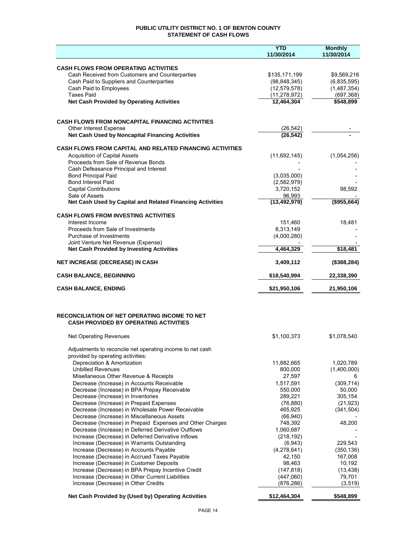## **PUBLIC UTILITY DISTRICT NO. 1 OF BENTON COUNTY STATEMENT OF CASH FLOWS**

|                                                                                                          | YTD<br>11/30/2014     | <b>Monthly</b><br>11/30/2014 |
|----------------------------------------------------------------------------------------------------------|-----------------------|------------------------------|
|                                                                                                          |                       |                              |
| <b>CASH FLOWS FROM OPERATING ACTIVITIES</b><br>Cash Received from Customers and Counterparties           | \$135,171,199         | \$9,569,216                  |
| Cash Paid to Suppliers and Counterparties                                                                | (98, 848, 345)        | (6,835,595)                  |
| Cash Paid to Employees                                                                                   | (12, 579, 578)        | (1,487,354)                  |
| <b>Taxes Paid</b>                                                                                        | (11, 278, 972)        | (697, 368)                   |
| <b>Net Cash Provided by Operating Activities</b>                                                         | 12,464,304            | \$548,899                    |
|                                                                                                          |                       |                              |
| <b>CASH FLOWS FROM NONCAPITAL FINANCING ACTIVITIES</b>                                                   |                       |                              |
| Other Interest Expense                                                                                   | (26, 542)             |                              |
| Net Cash Used by Noncapital Financing Activities                                                         | (26, 542)             |                              |
| <b>CASH FLOWS FROM CAPITAL AND RELATED FINANCING ACTIVITIES</b>                                          |                       |                              |
| <b>Acquisition of Capital Assets</b>                                                                     | (11,692,145)          | (1,054,256)                  |
| Proceeds from Sale of Revenue Bonds                                                                      |                       |                              |
| Cash Defeasance Principal and Interest<br><b>Bond Principal Paid</b>                                     | (3,035,000)           |                              |
| <b>Bond Interest Paid</b>                                                                                | (2,582,979)           |                              |
| <b>Capital Contributions</b>                                                                             | 3,720,152             | 98,592                       |
| Sale of Assets                                                                                           | 96,993                |                              |
| Net Cash Used by Capital and Related Financing Activities                                                | (13, 492, 979)        | (\$955,664)                  |
| <b>CASH FLOWS FROM INVESTING ACTIVITIES</b>                                                              |                       |                              |
| Interest Income                                                                                          | 151.460               | 18,481                       |
| Proceeds from Sale of Investments                                                                        | 8,313,149             |                              |
| Purchase of Investments                                                                                  | (4,000,280)           |                              |
| Joint Venture Net Revenue (Expense)<br><b>Net Cash Provided by Investing Activities</b>                  | 4,464,329             | \$18,481                     |
|                                                                                                          |                       |                              |
| <b>NET INCREASE (DECREASE) IN CASH</b>                                                                   | 3,409,112             | (\$388, 284)                 |
| <b>CASH BALANCE, BEGINNING</b>                                                                           | \$18,540,994          | 22,338,390                   |
| <b>CASH BALANCE, ENDING</b>                                                                              | \$21,950,106          | 21,950,106                   |
|                                                                                                          |                       |                              |
| <b>RECONCILIATION OF NET OPERATING INCOME TO NET</b>                                                     |                       |                              |
| <b>CASH PROVIDED BY OPERATING ACTIVITIES</b>                                                             |                       |                              |
| Net Operating Revenues                                                                                   | \$1,100,373           | \$1,078,540                  |
|                                                                                                          |                       |                              |
| Adjustments to reconcile net operating income to net cash                                                |                       |                              |
| provided by operating activities:                                                                        |                       |                              |
| Depreciation & Amortization<br><b>Unbilled Revenues</b>                                                  | 11,882,665<br>800,000 | 1,020,789<br>(1,400,000)     |
| Misellaneous Other Revenue & Receipts                                                                    | 27,597                | 6                            |
| Decrease (Increase) in Accounts Receivable                                                               | 1,517,591             | (309, 714)                   |
| Decrease (Increase) in BPA Prepay Receivable                                                             | 550,000               | 50,000                       |
| Decrease (Increase) in Inventories                                                                       | 289,221               | 305,154                      |
| Decrease (Increase) in Prepaid Expenses                                                                  | (76, 880)             | (21, 923)                    |
| Decrease (Increase) in Wholesale Power Receivable                                                        | 465,925               | (341, 504)                   |
| Decrease (Increase) in Miscellaneous Assets<br>Decrease (Increase) in Prepaid Expenses and Other Charges | (66, 940)<br>748,392  | 48,200                       |
| Decrease (Increase) in Deferred Derivative Outflows                                                      | 1,060,687             |                              |
| Increase (Decrease) in Deferred Derivative Inflows                                                       | (218, 192)            |                              |
| Increase (Decrease) in Warrants Outstanding                                                              | (6,943)               | 229,543                      |
| Increase (Decrease) in Accounts Payable                                                                  | (4, 278, 641)         | (350, 136)                   |
| Increase (Decrease) in Accrued Taxes Payable                                                             | 42,150                | 167,008                      |
| Increase (Decrease) in Customer Deposits                                                                 | 98,463                | 10,192                       |
| Increase (Decrease) in BPA Prepay Incentive Credit                                                       | (147, 818)            | (13, 438)                    |
| Increase (Decrease) in Other Current Liabilities                                                         | (447,060)             | 79,701                       |
| Increase (Decrease) in Other Credits                                                                     | (876, 286)            | (3, 519)                     |
| Net Cash Provided by (Used by) Operating Activities                                                      | \$12,464,304          | \$548,899                    |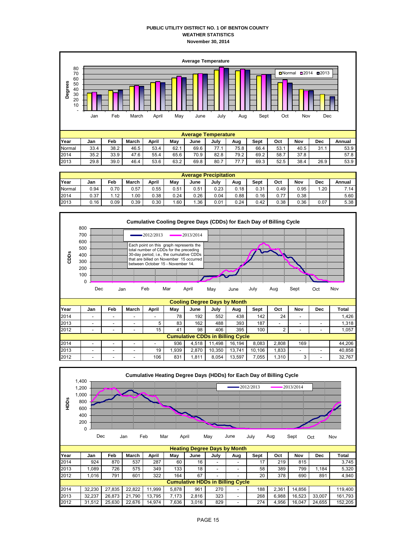### **PUBLIC UTILITY DISTRICT NO. 1 OF BENTON COUNTY WEATHER STATISTICS November 30, 2014**



| <b>Average Precipitation</b> |      |      |       |       |      |      |      |      |      |      |      |      |        |
|------------------------------|------|------|-------|-------|------|------|------|------|------|------|------|------|--------|
| Year                         | Jan  | Feb  | March | April | May  | June | July | Aug  | Sept | Oct  | Nov  | Dec  | Annual |
| Normal                       | 0.94 | 0.70 | 0.57  | 0.55  | 0.51 | 0.51 | 0.23 | 0.18 | 0.31 | 0.49 | 0.95 | 1.20 | 7.14   |
| 2014                         | 0.37 | 1.12 | .00   | 0.38  | 0.24 | 0.26 | 0.04 | 0.88 | 0.16 | 0.77 | 0.38 |      | 5.60   |
| 2013                         | 0.16 | 0.09 | 0.39  | 0.30  | .60  | .36  | 0.01 | 0.24 | 0.42 | 0.38 | 0.36 | 0.07 | 5.38   |



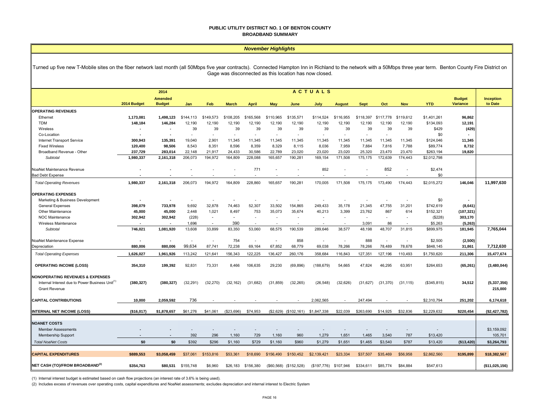#### **PUBLIC UTILITY DISTRICT NO. 1 OF BENTON COUNTY BROADBAND SUMMARY**

#### *November Highlights*

Turned up five new T-Mobile sites on the fiber network last month (all 50Mbps five year contracts). Connected Hampton Inn in Richland to the network with a 50Mbps three year term. Benton County Fire District on Gage was disconnected as this location has now closed.

|                                                                                                            | <b>ACTUALS</b><br>2014   |                                 |                |                          |              |              |            |                          |             |                          |             |           |            |             |                                  |                             |
|------------------------------------------------------------------------------------------------------------|--------------------------|---------------------------------|----------------|--------------------------|--------------|--------------|------------|--------------------------|-------------|--------------------------|-------------|-----------|------------|-------------|----------------------------------|-----------------------------|
|                                                                                                            | 2014 Budget              | <b>Amended</b><br><b>Budget</b> | Jan            | Feb                      | <b>March</b> | <b>April</b> | <b>May</b> | June                     | July        | <b>August</b>            | <b>Sept</b> | Oct       | <b>Nov</b> | <b>YTD</b>  | <b>Budget</b><br><b>Variance</b> | <b>Inception</b><br>to Date |
| <b>OPERATING REVENUES</b>                                                                                  |                          |                                 |                |                          |              |              |            |                          |             |                          |             |           |            |             |                                  |                             |
| Ethernet                                                                                                   | 1,173,081                | 1,498,123                       | \$144,113      | \$149,573                | \$108,205    | \$165,568    | \$110,965  | \$135,571                | \$114,524   | \$116,955                | \$118,397   | \$117,778 | \$119,612  | \$1,401,261 | 96,862                           |                             |
| <b>TDM</b>                                                                                                 | 148,184                  | 146,284                         | 12,190         | 12,190                   | 12,190       | 12,190       | 12,190     | 12,190                   | 12,190      | 12,190                   | 12,190      | 12,190    | 12,190     | \$134,093   | 12,191                           |                             |
| Wireless                                                                                                   | $\overline{\phantom{a}}$ |                                 | 39             | 39                       | 39           | 39           | 39         | 39                       | 39          | 39                       | 39          | 39        | 39         | \$429       | (429)                            |                             |
| Co-Location                                                                                                | $\overline{\phantom{a}}$ | $\blacksquare$                  | $\overline{a}$ | $\overline{\phantom{a}}$ |              |              | ٠          | $\overline{\phantom{a}}$ |             | $\overline{\phantom{a}}$ |             | ٠         |            | \$0         |                                  |                             |
| Internet Transport Service                                                                                 | 300.943                  | 135.391                         | 19.040         | 2,901                    | 11.345       | 11.345       | 11,345     | 11,345                   | 11.345      | 11.345                   | 11,345      | 11.345    | 11,345     | \$124,046   | 11,345                           |                             |
| <b>Fixed Wireless</b>                                                                                      | 120,400                  | 98,506                          | 8,543          | 8,351                    | 8,596        | 8,359        | 8,329      | 8,115                    | 8,036       | 7,959                    | 7,884       | 7,816     | 7,788      | \$89,774    | 8,732                            |                             |
| Broadband Revenue - Other                                                                                  | 237,729                  | 283,014                         | 22.148         | 21,917                   | 24.433       | 30.586       | 22,789     | 23,020                   | 23,020      | 23,020                   | 25,320      | 23,470    | 23,470     | \$263,194   | 19,820                           |                             |
| Subtotal                                                                                                   | 1,980,337                | 2,161,318                       | 206,073        | 194,972                  | 164,809      | 228,088      | 165,657    | 190,281                  | 169,154     | 171,508                  | 175,175     | 172,639   | 174,443    | \$2,012,798 |                                  |                             |
| NoaNet Maintenance Revenue                                                                                 |                          |                                 |                |                          |              | 771          |            |                          | 852         |                          |             | 852       |            | \$2,474     |                                  |                             |
| <b>Bad Debt Expense</b>                                                                                    |                          |                                 |                |                          |              |              | ٠          |                          |             |                          |             |           |            | \$0         |                                  |                             |
| <b>Total Operating Revenues</b>                                                                            | 1,980,337                | 2,161,318                       | 206.073        | 194,972                  | 164.809      | 228,860      | 165,657    | 190.281                  | 170,005     | 171.508                  | 175,175     | 173.490   | 174,443    | \$2,015,272 | 146,046                          | 11,997,630                  |
| <b>OPERATING EXPENSES</b>                                                                                  |                          |                                 |                |                          |              |              |            |                          |             |                          |             |           |            |             |                                  |                             |
| Marketing & Business Development                                                                           |                          |                                 |                |                          |              |              |            |                          |             |                          |             |           |            | \$0         |                                  |                             |
| General Expenses                                                                                           | 398,079                  | 733,978                         | 9,692          | 32,878                   | 74,463       | 52,307       | 33,502     | 154,865                  | 249,433     | 35,178                   | 21,345      | 47,755    | 31,201     | \$742,619   | (8,641)                          |                             |
| Other Maintenance                                                                                          | 45,000                   | 45,000                          | 2,448          | 1,021                    | 8,497        | 753          | 35,073     | 35,674                   | 40,213      | 3,399                    | 23,762      | 867       | 614        | \$152,321   | (107, 321)                       |                             |
| NOC Maintenance                                                                                            | 302,942                  | 302,942                         | (228)          | $\sim$                   | $\sim$       |              | ä,         |                          |             | $\overline{\phantom{a}}$ | $\sim$      |           |            | (\$228)     | 303,170                          |                             |
| Wireless Maintenance                                                                                       | $\overline{\phantom{a}}$ |                                 | 1,696          | $\sim$                   | 390          |              | ä,         |                          |             |                          | 3,091       | 86        |            | \$5,263     | (5,263)                          |                             |
| Subtotal                                                                                                   | 746,021                  | 1,081,920                       | 13,608         | 33,899                   | 83,350       | 53,060       | 68,575     | 190.539                  | 289.646     | 38,577                   | 48,198      | 48.707    | 31,815     | \$899,975   | 181,945                          | 7,765,044                   |
| NoaNet Maintenance Expense                                                                                 | $\overline{\phantom{a}}$ |                                 |                | $\overline{\phantom{a}}$ | 754          |              | $\sim$     | 858                      |             | ä,                       | 888         |           |            | \$2,500     | (2,500)                          |                             |
| Depreciation                                                                                               | 880.006                  | 880.006                         | 99.634         | 87,741                   | 72.238       | 69.164       | 67,852     | 68,779                   | 69,038      | 78,266                   | 78,266      | 78,489    | 78,678     | \$848,145   | 31,861                           | 7,712,630                   |
|                                                                                                            | 1,626,027                |                                 |                |                          |              |              | 136,427    |                          |             | 116,843                  |             | 127,196   |            |             |                                  | 15,477,674                  |
| <b>Total Operating Expenses</b>                                                                            |                          | 1,961,926                       | 113,242        | 121,641                  | 156,343      | 122,225      |            | 260,176                  | 358,684     |                          | 127,351     |           | 110,493    | \$1,750,620 | 211,306                          |                             |
| <b>OPERATING INCOME (LOSS)</b>                                                                             | 354,310                  | 199,392                         | 92,831         | 73,331                   | 8.466        | 106,635      | 29,230     | (69, 896)                | (188, 679)  | 54,665                   | 47,824      | 46,295    | 63,951     | \$264,653   | (65, 261)                        | (3,480,044)                 |
| <b>NONOPERATING REVENUES &amp; EXPENSES</b><br>Internal Interest due to Power Business Unit <sup>(1)</sup> | (380, 327)               | (380, 327)                      | (32, 291)      | (32, 270)                | (32, 162)    | (31, 682)    | (31, 859)  | (32, 265)                | (26, 548)   | (32, 626)                | (31, 627)   | (31, 370) | (31, 115)  | (\$345,815) | 34,512                           | (5, 337, 356)               |
| <b>Grant Revenue</b>                                                                                       |                          |                                 |                |                          |              |              |            |                          |             |                          |             |           |            |             |                                  | 215,000                     |
| <b>CAPITAL CONTRIBUTIONS</b>                                                                               | 10,000                   | 2,059,592                       | 736            |                          |              |              |            |                          | 2,062,565   | ٠                        | 247,494     |           |            | \$2,310,794 | 251,202                          | 6,174,618                   |
| <b>INTERNAL NET INCOME (LOSS)</b>                                                                          | (\$16,017)               | \$1,878,657                     | \$61,276       | \$41,061                 | (\$23,696)   | \$74,953     |            | (\$2,629) (\$102,161)    | \$1,847,338 | \$22,039                 | \$263,690   | \$14,925  | \$32,836   | \$2,229,632 | \$220,454                        | (\$2,427,782)               |
|                                                                                                            |                          |                                 |                |                          |              |              |            |                          |             |                          |             |           |            |             |                                  |                             |
| <b>NOANET COSTS</b>                                                                                        |                          |                                 |                |                          |              |              |            |                          |             |                          |             |           |            |             |                                  |                             |
| <b>Member Assessments</b>                                                                                  |                          |                                 |                |                          |              |              |            |                          |             |                          |             |           |            |             |                                  | \$3,159,092                 |
| <b>Membership Support</b>                                                                                  |                          | $\overline{\phantom{a}}$        | 392            | 296                      | 1,160        | 729          | 1,160      | 960                      | 1,279       | 1,651                    | 1,465       | 3,540     | 787        | \$13,420    |                                  | 105,701                     |
| <b>Total NoaNet Costs</b>                                                                                  | \$0                      | \$0                             | \$392          | \$296                    | \$1,160      | \$729        | \$1,160    | \$960                    | \$1,279     | \$1,651                  | \$1,465     | \$3,540   | \$787      | \$13,420    | (\$13,420)                       | \$3,264,793                 |
| <b>CAPITAL EXPENDITURES</b>                                                                                | \$889,553                | \$3,058,459                     | \$37,061       | \$153,816                | \$53,361     | \$18,690     | \$156,490  | \$150,452                | \$2,139,421 | \$23,334                 | \$37,507    | \$35,469  | \$56,958   | \$2,862,560 | \$195,899                        | \$18,382,567                |
| NET CASH (TO)/FROM BROADBAND <sup>(2)</sup>                                                                | \$354,763                | \$80,531                        | \$155,748      | \$6,960                  | \$26,183     | \$156,380    |            | (\$60,568) (\$152,528)   | (\$197,776) | \$107,946                | \$334,611   | \$85,774  | \$84,884   | \$547,613   |                                  | (\$11,025,156)              |

(1) Internal interest budget is estimated based on cash flow projections (an interest rate of 3.6% is being used).

(2) Includes excess of revenues over operating costs, capital expenditures and NoaNet assessments; excludes depreciation and internal interest to Electric System